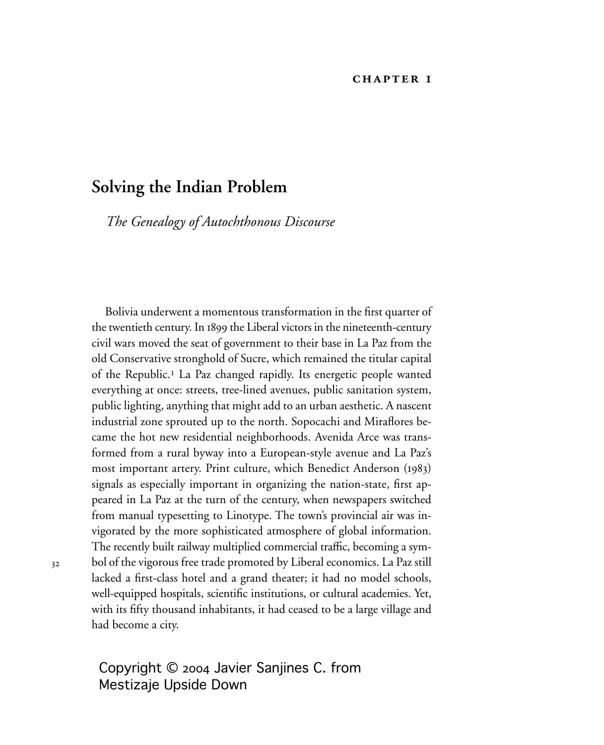### **CHAPTER I**

# **Solving the Indian Problem**

*The Genealogy of Autochthonous Discourse* 

Bolivia underwent a momentous transformation in the first quarter of the twentieth century. In 1899 the Liberal victors in the nineteenth-century civil wars moved the seat of government to their base in La Paz from the old Conservative stronghold of Sucre, which remained the titular capital of the Republic.<sup>1</sup> La Paz changed rapidly. Its energetic people wanted everything at once: streets, tree-lined avenues, public sanitation system, public lighting, anything that might add to an urban aesthetic. A nascent industrial zone sprouted up to the north. Sopocachi and Miraflores became the hot new residential neighborhoods. Avenida Arce was transformed from a rural byway into a European-style avenue and La Paz's most important artery. Print culture, which Benedict Anderson (1983) signals as especially important in organizing the nation-state, first appeared in La Paz at the turn of the century, when newspapers switched from manual typesetting to Linotype. The town's provincial air was invigorated by the more sophisticated atmosphere of global information. The recently built railway multiplied commercial traffic, becoming a symbol of the vigorous free trade promoted by Liberal economics. La Paz still lacked a first-class hotel and a grand theater; it had no model schools, well-equipped hospitals, scientific institutions, or cultural academies. Yet, with its fifty thousand inhabitants, it had ceased to be a large village and had become a city.

Copyright © 2004 Javier Sanjines C. from Mestizaje Upside Down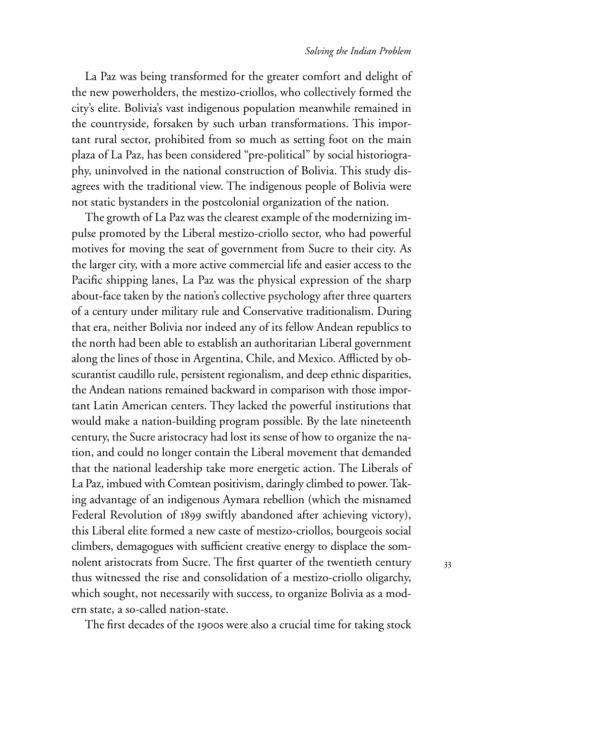#### *Solving the Indian Problem*

La Paz was being transformed for the greater comfort and delight of the new powerholders, the mestizo-criollos, who collectively formed the city's elite. Bolivia's vast indigenous population meanwhile remained in the countryside, forsaken by such urban transformations. This important rural sector, prohibited from so much as setting foot on the main plaza of La Paz, has been considered "pre-political" by social historiography, uninvolved in the national construction of Bolivia. This study disagrees with the traditional view. The indigenous people of Bolivia were not static bystanders in the postcolonial organization of the nation.

The growth of La Paz was the clearest example of the modernizing impulse promoted by the Liberal mestizo-criollo sector, who had powerful motives for moving the seat of government from Sucre to their city. As the larger city, with a more active commercial life and easier access to the Pacific shipping lanes, La Paz was the physical expression of the sharp about-face taken by the nation's collective psychology after three quarters of a century under military rule and Conservative traditionalism. During that era, neither Bolivia nor indeed any of its fellow Andean republics to the north had been able to establish an authoritarian Liberal government along the lines of those in Argentina, Chile, and Mexico. Afflicted by obscurantist caudillo rule, persistent regionalism, and deep ethnic disparities, the Andean nations remained backward in comparison with those important Latin American centers. They lacked the powerful institutions that would make a nation-building program possible. By the late nineteenth century, the Sucre aristocracy had lost its sense of how to organize the nation, and could no longer contain the Liberal movement that demanded that the national leadership take more energetic action. The Liberals of La Paz, imbued with Comtean positivism, daringly climbed to power. Taking advantage of an indigenous Aymara rebellion (which the misnamed Federal Revolution of 1899 swiftly abandoned after achieving victory), this Liberal elite formed a new caste of mestizo-criollos, bourgeois social climbers, demagogues with sufficient creative energy to displace the somnolent aristocrats from Sucre. The first quarter of the twentieth century thus witnessed the rise and consolidation of a mestizo-criollo oligarchy, which sought, not necessarily with success, to organize Bolivia as a modern state, a so-called nation-state.

The first decades of the 1900s were also a crucial time for taking stock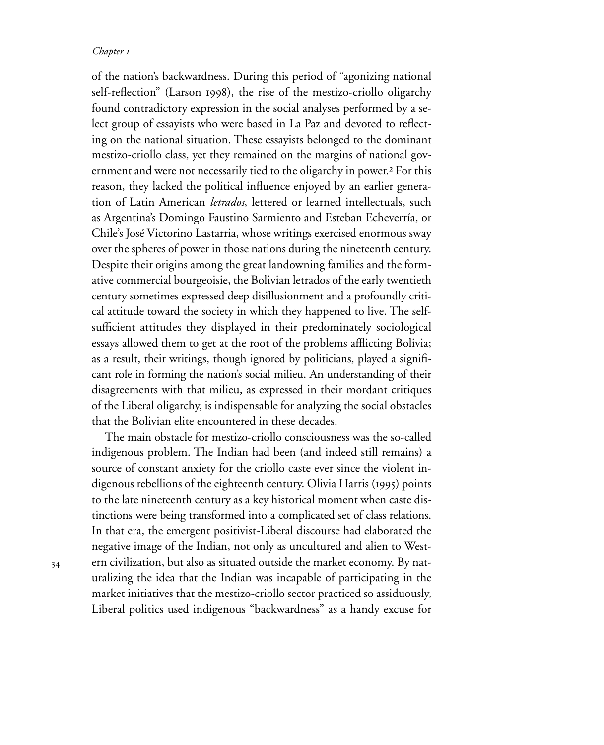of the nation's backwardness. During this period of "agonizing national self-reflection" (Larson 1998), the rise of the mestizo-criollo oligarchy found contradictory expression in the social analyses performed by a select group of essayists who were based in La Paz and devoted to reflecting on the national situation. These essayists belonged to the dominant mestizo-criollo class, yet they remained on the margins of national government and were not necessarily tied to the oligarchy in power.² For this reason, they lacked the political influence enjoyed by an earlier generation of Latin American *letrados*, lettered or learned intellectuals, such as Argentina's Domingo Faustino Sarmiento and Esteban Echeverría, or Chile's José Victorino Lastarria, whose writings exercised enormous sway over the spheres of power in those nations during the nineteenth century. Despite their origins among the great landowning families and the formative commercial bourgeoisie, the Bolivian letrados of the early twentieth century sometimes expressed deep disillusionment and a profoundly critical attitude toward the society in which they happened to live. The selfsufficient attitudes they displayed in their predominately sociological essays allowed them to get at the root of the problems afflicting Bolivia; as a result, their writings, though ignored by politicians, played a significant role in forming the nation's social milieu. An understanding of their disagreements with that milieu, as expressed in their mordant critiques of the Liberal oligarchy, is indispensable for analyzing the social obstacles that the Bolivian elite encountered in these decades.

The main obstacle for mestizo-criollo consciousness was the so-called indigenous problem. The Indian had been (and indeed still remains) a source of constant anxiety for the criollo caste ever since the violent indigenous rebellions of the eighteenth century. Olivia Harris (1995) points to the late nineteenth century as a key historical moment when caste distinctions were being transformed into a complicated set of class relations. In that era, the emergent positivist-Liberal discourse had elaborated the negative image of the Indian, not only as uncultured and alien to Western civilization, but also as situated outside the market economy. By naturalizing the idea that the Indian was incapable of participating in the market initiatives that the mestizo-criollo sector practiced so assiduously, Liberal politics used indigenous "backwardness" as a handy excuse for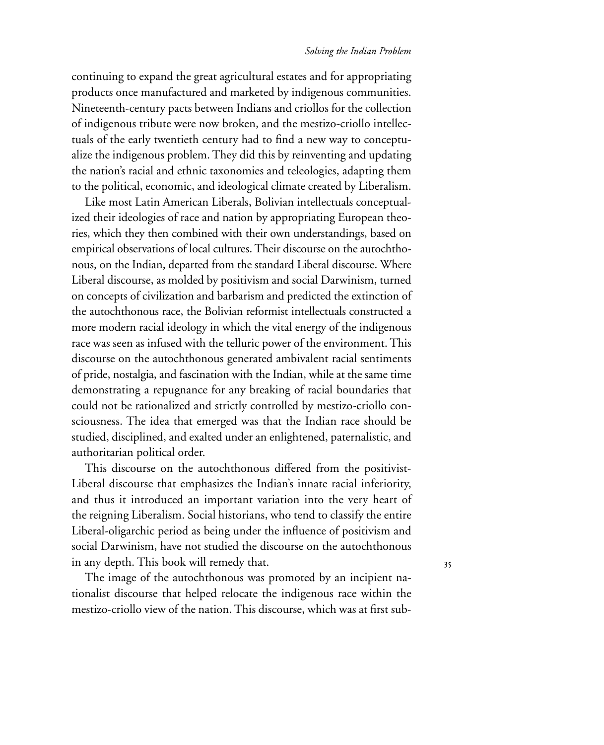#### *Solving the Indian Problem*

continuing to expand the great agricultural estates and for appropriating products once manufactured and marketed by indigenous communities. Nineteenth-century pacts between Indians and criollos for the collection of indigenous tribute were now broken, and the mestizo-criollo intellectuals of the early twentieth century had to find a new way to conceptualize the indigenous problem. They did this by reinventing and updating the nation's racial and ethnic taxonomies and teleologies, adapting them to the political, economic, and ideological climate created by Liberalism.

Like most Latin American Liberals, Bolivian intellectuals conceptualized their ideologies of race and nation by appropriating European theories, which they then combined with their own understandings, based on empirical observations of local cultures. Their discourse on the autochthonous, on the Indian, departed from the standard Liberal discourse. Where Liberal discourse, as molded by positivism and social Darwinism, turned on concepts of civilization and barbarism and predicted the extinction of the autochthonous race, the Bolivian reformist intellectuals constructed a more modern racial ideology in which the vital energy of the indigenous race was seen as infused with the telluric power of the environment. This discourse on the autochthonous generated ambivalent racial sentiments of pride, nostalgia, and fascination with the Indian, while at the same time demonstrating a repugnance for any breaking of racial boundaries that could not be rationalized and strictly controlled by mestizo-criollo consciousness. The idea that emerged was that the Indian race should be studied, disciplined, and exalted under an enlightened, paternalistic, and authoritarian political order.

This discourse on the autochthonous differed from the positivist-Liberal discourse that emphasizes the Indian's innate racial inferiority, and thus it introduced an important variation into the very heart of the reigning Liberalism. Social historians, who tend to classify the entire Liberal-oligarchic period as being under the influence of positivism and social Darwinism, have not studied the discourse on the autochthonous in any depth. This book will remedy that.

The image of the autochthonous was promoted by an incipient nationalist discourse that helped relocate the indigenous race within the mestizo-criollo view of the nation. This discourse, which was at first sub-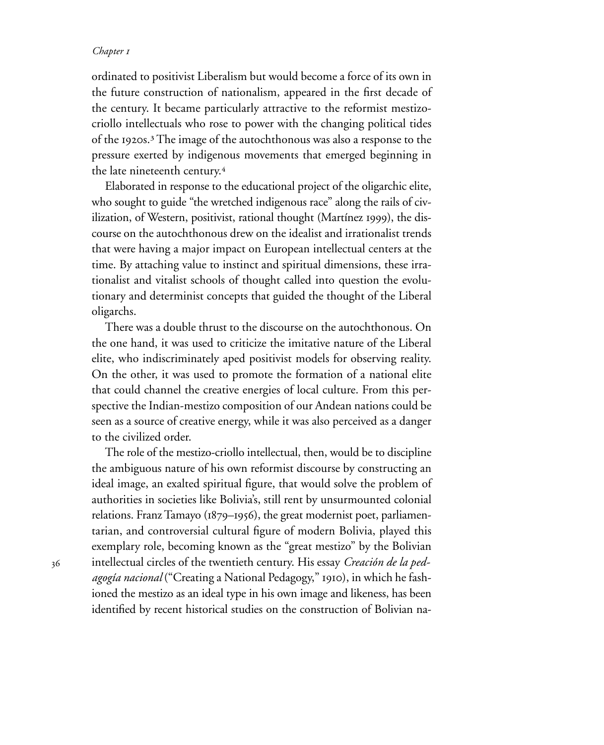ordinated to positivist Liberalism but would become a force of its own in the future construction of nationalism, appeared in the first decade of the century. It became particularly attractive to the reformist mestizocriollo intellectuals who rose to power with the changing political tides of the 1920s. $3$  The image of the autochthonous was also a response to the pressure exerted by indigenous movements that emerged beginning in the late nineteenth century.<sup>4</sup>

Elaborated in response to the educational project of the oligarchic elite, who sought to guide "the wretched indigenous race" along the rails of civilization, of Western, positivist, rational thought (Martínez 1999), the discourse on the autochthonous drew on the idealist and irrationalist trends that were having a major impact on European intellectual centers at the time. By attaching value to instinct and spiritual dimensions, these irrationalist and vitalist schools of thought called into question the evolutionary and determinist concepts that guided the thought of the Liberal oligarchs.

There was a double thrust to the discourse on the autochthonous. On the one hand, it was used to criticize the imitative nature of the Liberal elite, who indiscriminately aped positivist models for observing reality. On the other, it was used to promote the formation of a national elite that could channel the creative energies of local culture. From this perspective the Indian-mestizo composition of our Andean nations could be seen as a source of creative energy, while it was also perceived as a danger to the civilized order.

The role of the mestizo-criollo intellectual, then, would be to discipline the ambiguous nature of his own reformist discourse by constructing an ideal image, an exalted spiritual figure, that would solve the problem of authorities in societies like Bolivia's, still rent by unsurmounted colonial relations. Franz Tamayo ( $1879-1956$ ), the great modernist poet, parliamentarian, and controversial cultural figure of modern Bolivia, played this exemplary role, becoming known as the "great mestizo" by the Bolivian intellectual circles of the twentieth century. His essay *Creación de la ped*agogía nacional ("Creating a National Pedagogy," 1910), in which he fashioned the mestizo as an ideal type in his own image and likeness, has been identified by recent historical studies on the construction of Bolivian na-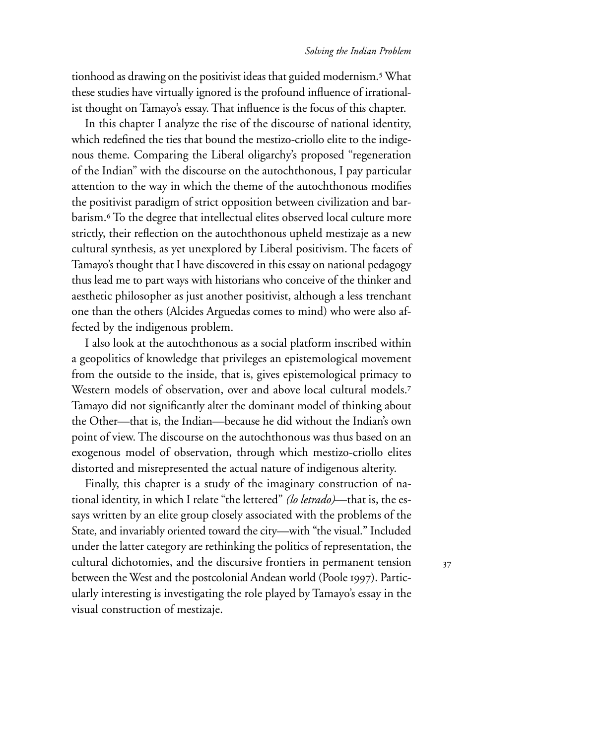tionhood as drawing on the positivist ideas that guided modernism.<sup>5</sup> What these studies have virtually ignored is the profound influence of irrationalist thought on Tamayo's essay. That influence is the focus of this chapter.

In this chapter I analyze the rise of the discourse of national identity, which redefined the ties that bound the mestizo-criollo elite to the indigenous theme. Comparing the Liberal oligarchy's proposed "regeneration of the Indian" with the discourse on the autochthonous, I pay particular attention to the way in which the theme of the autochthonous modifies the positivist paradigm of strict opposition between civilization and barbarism.<sup>6</sup> To the degree that intellectual elites observed local culture more strictly, their reflection on the autochthonous upheld mestizaje as a new cultural synthesis, as yet unexplored by Liberal positivism. The facets of Tamayo's thought that I have discovered in this essay on national pedagogy thus lead me to part ways with historians who conceive of the thinker and aesthetic philosopher as just another positivist, although a less trenchant one than the others (Alcides Arguedas comes to mind) who were also affected by the indigenous problem.

I also look at the autochthonous as a social platform inscribed within a geopolitics of knowledge that privileges an epistemological movement from the outside to the inside, that is, gives epistemological primacy to Western models of observation, over and above local cultural models.<sup>7</sup> Tamayo did not significantly alter the dominant model of thinking about the Other—that is, the Indian—because he did without the Indian's own point of view. The discourse on the autochthonous was thus based on an exogenous model of observation, through which mestizo-criollo elites distorted and misrepresented the actual nature of indigenous alterity.

Finally, this chapter is a study of the imaginary construction of national identity, in which I relate "the lettered" *(lo letrado)*—that is, the essays written by an elite group closely associated with the problems of the State, and invariably oriented toward the city—with "the visual." Included under the latter category are rethinking the politics of representation, the cultural dichotomies, and the discursive frontiers in permanent tension between the West and the postcolonial Andean world (Poole 1997). Particularly interesting is investigating the role played by Tamayo's essay in the visual construction of mestizaje.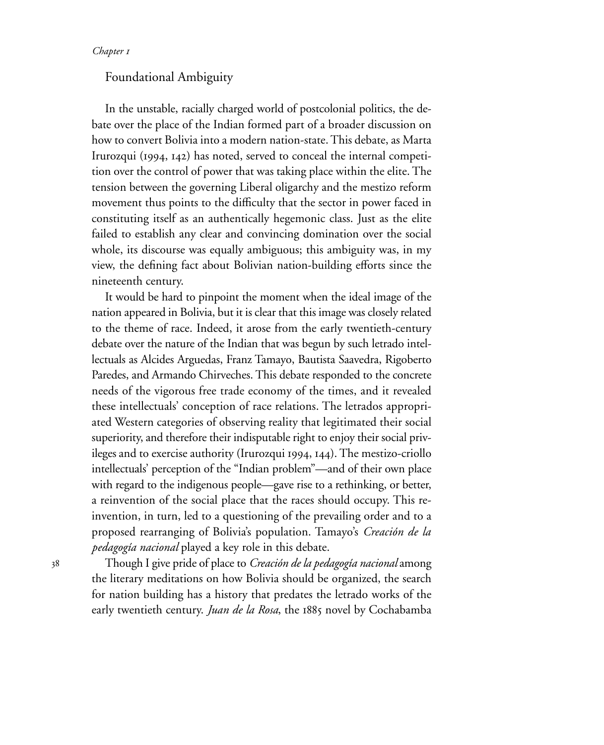## Foundational Ambiguity

In the unstable, racially charged world of postcolonial politics, the debate over the place of the Indian formed part of a broader discussion on how to convert Bolivia into a modern nation-state. This debate, as Marta Irurozqui (1994, 142) has noted, served to conceal the internal competition over the control of power that was taking place within the elite. The tension between the governing Liberal oligarchy and the mestizo reform movement thus points to the difficulty that the sector in power faced in constituting itself as an authentically hegemonic class. Just as the elite failed to establish any clear and convincing domination over the social whole, its discourse was equally ambiguous; this ambiguity was, in my view, the defining fact about Bolivian nation-building efforts since the nineteenth century.

It would be hard to pinpoint the moment when the ideal image of the nation appeared in Bolivia, but it is clear that this image was closely related to the theme of race. Indeed, it arose from the early twentieth-century debate over the nature of the Indian that was begun by such letrado intellectuals as Alcides Arguedas, Franz Tamayo, Bautista Saavedra, Rigoberto Paredes, and Armando Chirveches. This debate responded to the concrete needs of the vigorous free trade economy of the times, and it revealed these intellectuals' conception of race relations. The letrados appropriated Western categories of observing reality that legitimated their social superiority, and therefore their indisputable right to enjoy their social privileges and to exercise authority (Irurozqui 1994, 144). The mestizo-criollo intellectuals' perception of the "Indian problem"—and of their own place with regard to the indigenous people—gave rise to a rethinking, or better, a reinvention of the social place that the races should occupy. This reinvention, in turn, led to a questioning of the prevailing order and to a proposed rearranging of Bolivia's population. Tamayo's *Creación de la pedagogía nacional* played a key role in this debate.

38

Though I give pride of place to *Creación de la pedagogía nacional* among the literary meditations on how Bolivia should be organized, the search for nation building has a history that predates the letrado works of the early twentieth century. *Juan de la Rosa*, the 1885 novel by Cochabamba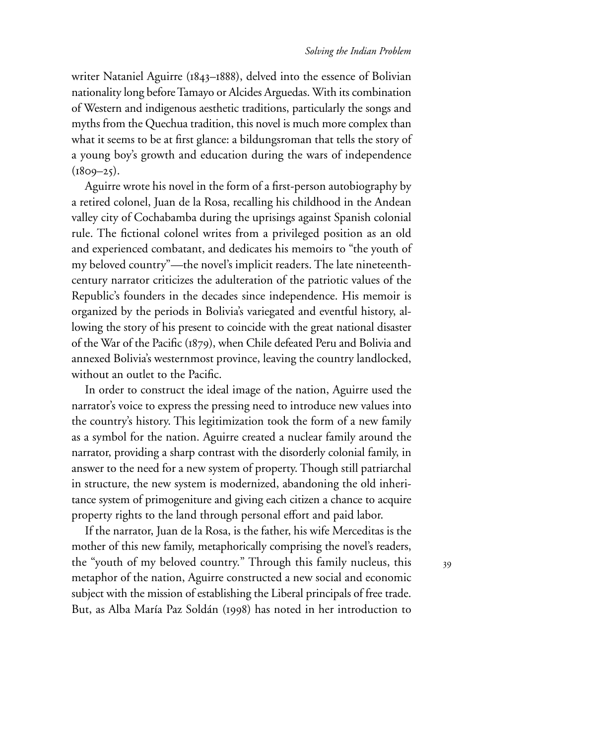writer Nataniel Aguirre ( $1843-1888$ ), delved into the essence of Bolivian nationality long before Tamayo or Alcides Arguedas. With its combination of Western and indigenous aesthetic traditions, particularly the songs and myths from the Quechua tradition, this novel is much more complex than what it seems to be at first glance: a bildungsroman that tells the story of a young boy's growth and education during the wars of independence  $(1809 - 25)$ .

Aguirre wrote his novel in the form of a first-person autobiography by a retired colonel, Juan de la Rosa, recalling his childhood in the Andean valley city of Cochabamba during the uprisings against Spanish colonial rule. The fictional colonel writes from a privileged position as an old and experienced combatant, and dedicates his memoirs to "the youth of my beloved country"—the novel's implicit readers. The late nineteenthcentury narrator criticizes the adulteration of the patriotic values of the Republic's founders in the decades since independence. His memoir is organized by the periods in Bolivia's variegated and eventful history, allowing the story of his present to coincide with the great national disaster of the War of the Pacific (1879), when Chile defeated Peru and Bolivia and annexed Bolivia's westernmost province, leaving the country landlocked, without an outlet to the Pacific.

In order to construct the ideal image of the nation, Aguirre used the narrator's voice to express the pressing need to introduce new values into the country's history. This legitimization took the form of a new family as a symbol for the nation. Aguirre created a nuclear family around the narrator, providing a sharp contrast with the disorderly colonial family, in answer to the need for a new system of property. Though still patriarchal in structure, the new system is modernized, abandoning the old inheritance system of primogeniture and giving each citizen a chance to acquire property rights to the land through personal effort and paid labor.

If the narrator, Juan de la Rosa, is the father, his wife Merceditas is the mother of this new family, metaphorically comprising the novel's readers, the "youth of my beloved country." Through this family nucleus, this metaphor of the nation, Aguirre constructed a new social and economic subject with the mission of establishing the Liberal principals of free trade. But, as Alba María Paz Soldán (1998) has noted in her introduction to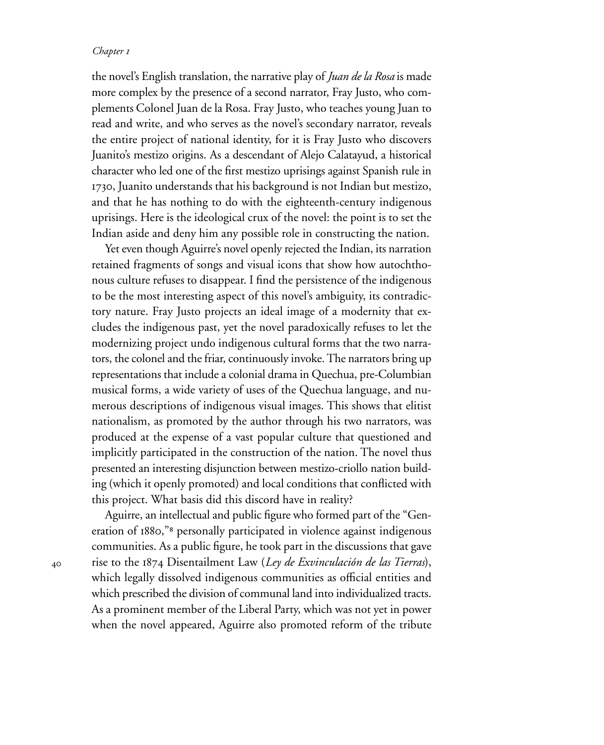the novel's English translation, the narrative play of *Juan de la Rosa* is made more complex by the presence of a second narrator, Fray Justo, who complements Colonel Juan de la Rosa. Fray Justo, who teaches young Juan to read and write, and who serves as the novel's secondary narrator, reveals the entire project of national identity, for it is Fray Justo who discovers Juanito's mestizo origins. As a descendant of Alejo Calatayud, a historical character who led one of the first mestizo uprisings against Spanish rule in 1730, Juanito understands that his background is not Indian but mestizo, and that he has nothing to do with the eighteenth-century indigenous uprisings. Here is the ideological crux of the novel: the point is to set the Indian aside and deny him any possible role in constructing the nation.

Yet even though Aguirre's novel openly rejected the Indian, its narration retained fragments of songs and visual icons that show how autochthonous culture refuses to disappear. I find the persistence of the indigenous to be the most interesting aspect of this novel's ambiguity, its contradictory nature. Fray Justo projects an ideal image of a modernity that excludes the indigenous past, yet the novel paradoxically refuses to let the modernizing project undo indigenous cultural forms that the two narrators, the colonel and the friar, continuously invoke. The narrators bring up representations that include a colonial drama in Quechua, pre-Columbian musical forms, a wide variety of uses of the Quechua language, and numerous descriptions of indigenous visual images. This shows that elitist nationalism, as promoted by the author through his two narrators, was produced at the expense of a vast popular culture that questioned and implicitly participated in the construction of the nation. The novel thus presented an interesting disjunction between mestizo-criollo nation building (which it openly promoted) and local conditions that conflicted with this project. What basis did this discord have in reality?

Aguirre, an intellectual and public figure who formed part of the "Generation of 1880,"<sup>8</sup> personally participated in violence against indigenous communities. As a public figure, he took part in the discussions that gave rise to the 1874 Disentailment Law (*Ley de Exvinculación de las Tierras*), which legally dissolved indigenous communities as official entities and which prescribed the division of communal land into individualized tracts. As a prominent member of the Liberal Party, which was not yet in power when the novel appeared, Aguirre also promoted reform of the tribute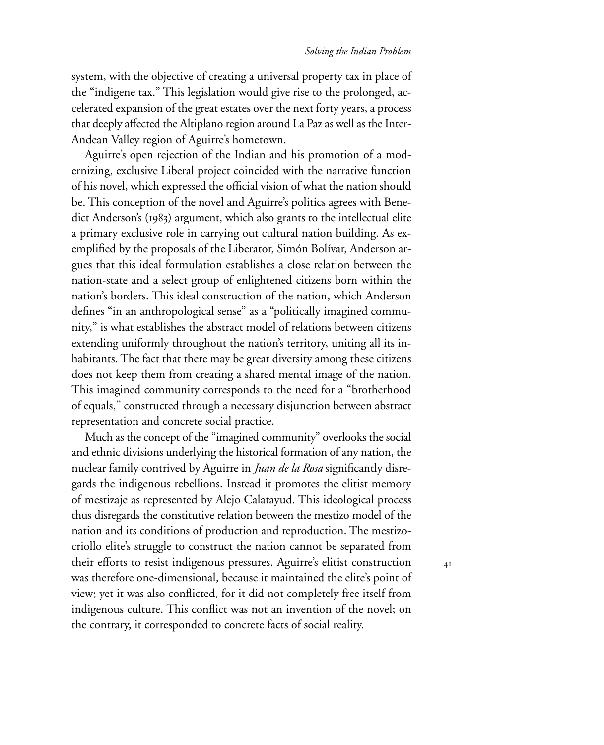system, with the objective of creating a universal property tax in place of the "indigene tax." This legislation would give rise to the prolonged, accelerated expansion of the great estates over the next forty years, a process that deeply affected the Altiplano region around La Paz as well as the Inter-Andean Valley region of Aguirre's hometown.

Aguirre's open rejection of the Indian and his promotion of a modernizing, exclusive Liberal project coincided with the narrative function of his novel, which expressed the official vision of what the nation should be. This conception of the novel and Aguirre's politics agrees with Benedict Anderson's (1983) argument, which also grants to the intellectual elite a primary exclusive role in carrying out cultural nation building. As exemplified by the proposals of the Liberator, Simón Bolívar, Anderson argues that this ideal formulation establishes a close relation between the nation-state and a select group of enlightened citizens born within the nation's borders. This ideal construction of the nation, which Anderson defines "in an anthropological sense" as a "politically imagined community," is what establishes the abstract model of relations between citizens extending uniformly throughout the nation's territory, uniting all its inhabitants. The fact that there may be great diversity among these citizens does not keep them from creating a shared mental image of the nation. This imagined community corresponds to the need for a "brotherhood of equals," constructed through a necessary disjunction between abstract representation and concrete social practice.

Much as the concept of the "imagined community" overlooks the social and ethnic divisions underlying the historical formation of any nation, the nuclear family contrived by Aguirre in *Juan de la Rosa* significantly disregards the indigenous rebellions. Instead it promotes the elitist memory of mestizaje as represented by Alejo Calatayud. This ideological process thus disregards the constitutive relation between the mestizo model of the nation and its conditions of production and reproduction. The mestizocriollo elite's struggle to construct the nation cannot be separated from their efforts to resist indigenous pressures. Aguirre's elitist construction was therefore one-dimensional, because it maintained the elite's point of view; yet it was also conflicted, for it did not completely free itself from indigenous culture. This conflict was not an invention of the novel; on the contrary, it corresponded to concrete facts of social reality.

 $4I$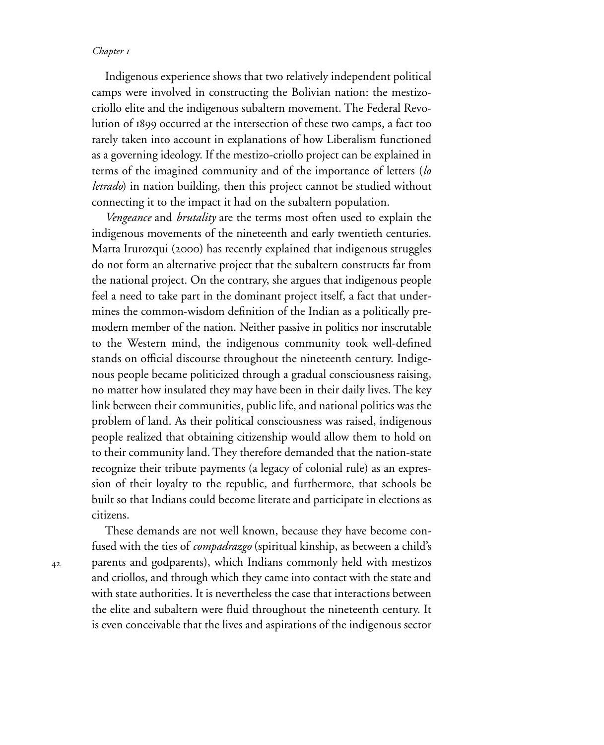Indigenous experience shows that two relatively independent political camps were involved in constructing the Bolivian nation: the mestizocriollo elite and the indigenous subaltern movement. The Federal Revolution of 1899 occurred at the intersection of these two camps, a fact too rarely taken into account in explanations of how Liberalism functioned as a governing ideology. If the mestizo-criollo project can be explained in terms of the imagined community and of the importance of letters (*lo letrado*) in nation building, then this project cannot be studied without connecting it to the impact it had on the subaltern population.

*Vengeance* and *brutality* are the terms most often used to explain the indigenous movements of the nineteenth and early twentieth centuries. Marta Irurozqui (2000) has recently explained that indigenous struggles do not form an alternative project that the subaltern constructs far from the national project. On the contrary, she argues that indigenous people feel a need to take part in the dominant project itself, a fact that undermines the common-wisdom definition of the Indian as a politically premodern member of the nation. Neither passive in politics nor inscrutable to the Western mind, the indigenous community took well-defined stands on official discourse throughout the nineteenth century. Indigenous people became politicized through a gradual consciousness raising, no matter how insulated they may have been in their daily lives. The key link between their communities, public life, and national politics was the problem of land. As their political consciousness was raised, indigenous people realized that obtaining citizenship would allow them to hold on to their community land. They therefore demanded that the nation-state recognize their tribute payments (a legacy of colonial rule) as an expression of their loyalty to the republic, and furthermore, that schools be built so that Indians could become literate and participate in elections as citizens.

These demands are not well known, because they have become confused with the ties of *compadrazgo* (spiritual kinship, as between a child's parents and godparents), which Indians commonly held with mestizos and criollos, and through which they came into contact with the state and with state authorities. It is nevertheless the case that interactions between the elite and subaltern were fluid throughout the nineteenth century. It is even conceivable that the lives and aspirations of the indigenous sector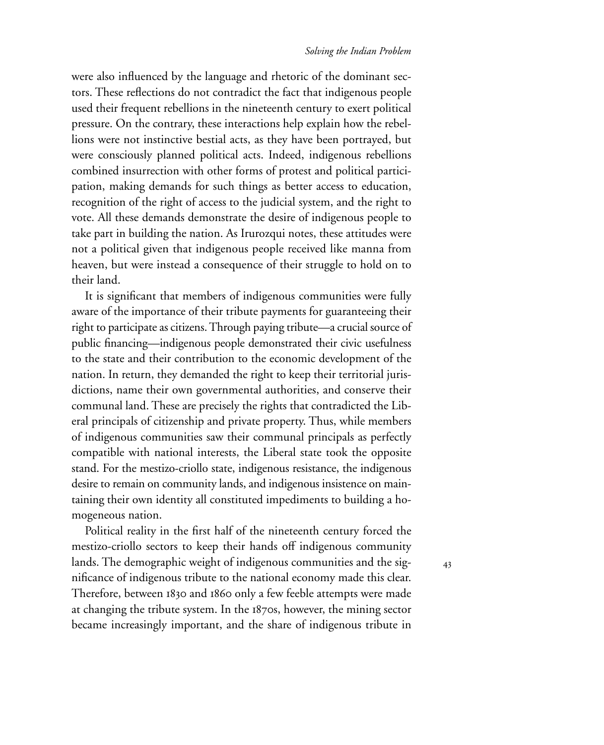were also influenced by the language and rhetoric of the dominant sectors. These reflections do not contradict the fact that indigenous people used their frequent rebellions in the nineteenth century to exert political pressure. On the contrary, these interactions help explain how the rebellions were not instinctive bestial acts, as they have been portrayed, but were consciously planned political acts. Indeed, indigenous rebellions combined insurrection with other forms of protest and political participation, making demands for such things as better access to education, recognition of the right of access to the judicial system, and the right to vote. All these demands demonstrate the desire of indigenous people to take part in building the nation. As Irurozqui notes, these attitudes were not a political given that indigenous people received like manna from heaven, but were instead a consequence of their struggle to hold on to their land.

It is significant that members of indigenous communities were fully aware of the importance of their tribute payments for guaranteeing their right to participate as citizens. Through paying tribute—a crucial source of public financing—indigenous people demonstrated their civic usefulness to the state and their contribution to the economic development of the nation. In return, they demanded the right to keep their territorial jurisdictions, name their own governmental authorities, and conserve their communal land. These are precisely the rights that contradicted the Liberal principals of citizenship and private property. Thus, while members of indigenous communities saw their communal principals as perfectly compatible with national interests, the Liberal state took the opposite stand. For the mestizo-criollo state, indigenous resistance, the indigenous desire to remain on community lands, and indigenous insistence on maintaining their own identity all constituted impediments to building a homogeneous nation.

Political reality in the first half of the nineteenth century forced the mestizo-criollo sectors to keep their hands off indigenous community lands. The demographic weight of indigenous communities and the significance of indigenous tribute to the national economy made this clear. Therefore, between 1830 and 1860 only a few feeble attempts were made at changing the tribute system. In the 1870s, however, the mining sector became increasingly important, and the share of indigenous tribute in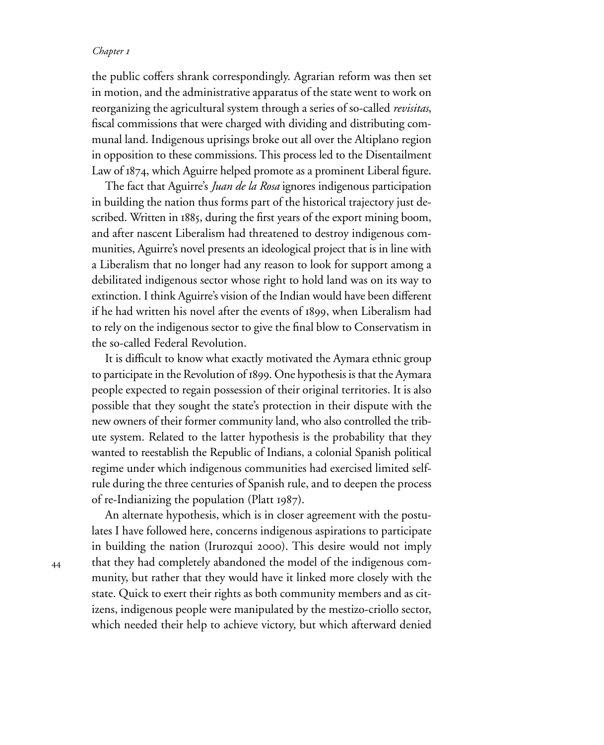the public coffers shrank correspondingly. Agrarian reform was then set in motion, and the administrative apparatus of the state went to work on reorganizing the agricultural system through a series of so-called *revisitas*, fiscal commissions that were charged with dividing and distributing communal land. Indigenous uprisings broke out all over the Altiplano region in opposition to these commissions. This process led to the Disentailment Law of 1874, which Aguirre helped promote as a prominent Liberal figure.

The fact that Aguirre's *Juan de la Rosa* ignores indigenous participation in building the nation thus forms part of the historical trajectory just described. Written in 1885, during the first years of the export mining boom, and after nascent Liberalism had threatened to destroy indigenous communities, Aguirre's novel presents an ideological project that is in line with a Liberalism that no longer had any reason to look for support among a debilitated indigenous sector whose right to hold land was on its way to extinction. I think Aguirre's vision of the Indian would have been different if he had written his novel after the events of 1899, when Liberalism had to rely on the indigenous sector to give the final blow to Conservatism in the so-called Federal Revolution.

It is difficult to know what exactly motivated the Aymara ethnic group to participate in the Revolution of 1899. One hypothesis is that the Aymara people expected to regain possession of their original territories. It is also possible that they sought the state's protection in their dispute with the new owners of their former community land, who also controlled the tribute system. Related to the latter hypothesis is the probability that they wanted to reestablish the Republic of Indians, a colonial Spanish political regime under which indigenous communities had exercised limited selfrule during the three centuries of Spanish rule, and to deepen the process of re-Indianizing the population (Platt  $1987$ ).

An alternate hypothesis, which is in closer agreement with the postulates I have followed here, concerns indigenous aspirations to participate in building the nation (Irurozqui 2000). This desire would not imply that they had completely abandoned the model of the indigenous community, but rather that they would have it linked more closely with the state. Quick to exert their rights as both community members and as citizens, indigenous people were manipulated by the mestizo-criollo sector, which needed their help to achieve victory, but which afterward denied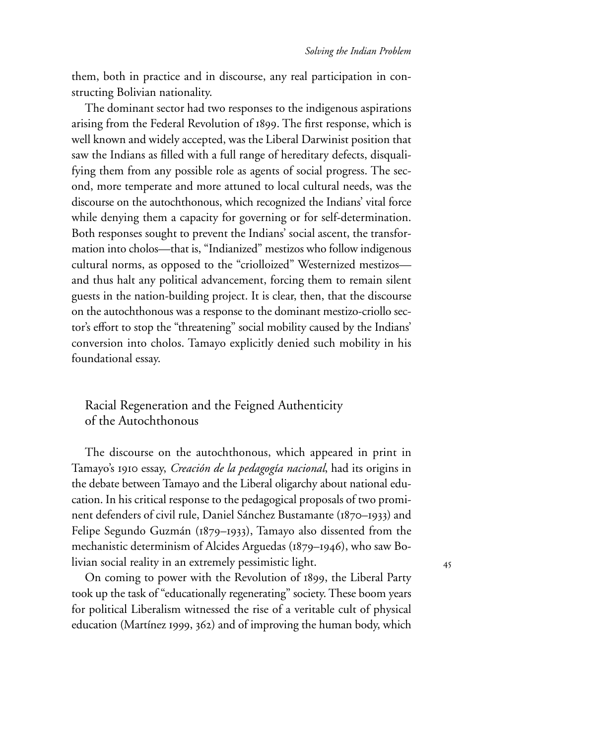them, both in practice and in discourse, any real participation in constructing Bolivian nationality.

The dominant sector had two responses to the indigenous aspirations arising from the Federal Revolution of 1899. The first response, which is well known and widely accepted, was the Liberal Darwinist position that saw the Indians as filled with a full range of hereditary defects, disqualifying them from any possible role as agents of social progress. The second, more temperate and more attuned to local cultural needs, was the discourse on the autochthonous, which recognized the Indians' vital force while denying them a capacity for governing or for self-determination. Both responses sought to prevent the Indians' social ascent, the transformation into cholos—that is, "Indianized" mestizos who follow indigenous cultural norms, as opposed to the "criolloized" Westernized mestizos and thus halt any political advancement, forcing them to remain silent guests in the nation-building project. It is clear, then, that the discourse on the autochthonous was a response to the dominant mestizo-criollo sector's effort to stop the "threatening" social mobility caused by the Indians' conversion into cholos. Tamayo explicitly denied such mobility in his foundational essay.

# Racial Regeneration and the Feigned Authenticity of the Autochthonous

The discourse on the autochthonous, which appeared in print in Tamayo's 1910 essay, *Creación de la pedagogía nacional*, had its origins in the debate between Tamayo and the Liberal oligarchy about national education. In his critical response to the pedagogical proposals of two prominent defenders of civil rule, Daniel Sánchez Bustamante (1870–1933) and Felipe Segundo Guzmán ( $1879-1933$ ), Tamayo also dissented from the mechanistic determinism of Alcides Arguedas ( $1879-1946$ ), who saw Bolivian social reality in an extremely pessimistic light.

On coming to power with the Revolution of 1899, the Liberal Party took up the task of "educationally regenerating" society. These boom years for political Liberalism witnessed the rise of a veritable cult of physical education (Martínez 1999, 362) and of improving the human body, which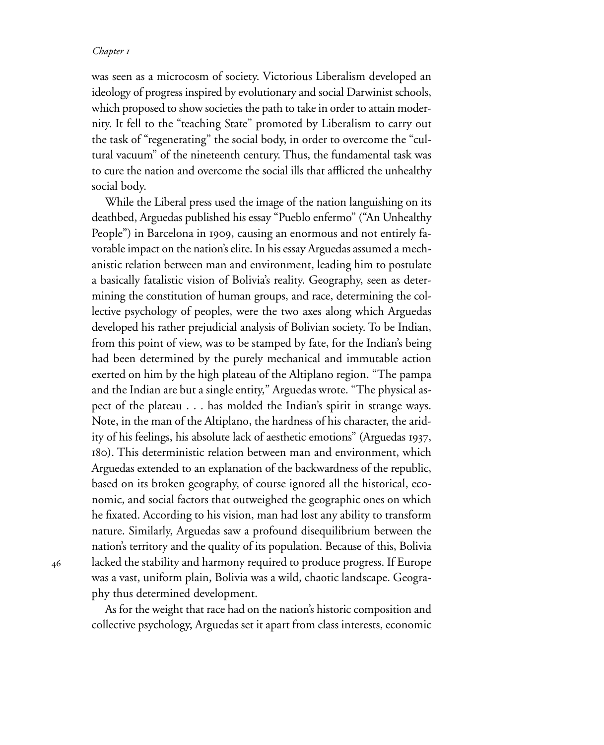was seen as a microcosm of society. Victorious Liberalism developed an ideology of progress inspired by evolutionary and social Darwinist schools, which proposed to show societies the path to take in order to attain modernity. It fell to the "teaching State" promoted by Liberalism to carry out the task of "regenerating" the social body, in order to overcome the "cultural vacuum" of the nineteenth century. Thus, the fundamental task was to cure the nation and overcome the social ills that afflicted the unhealthy social body.

While the Liberal press used the image of the nation languishing on its deathbed, Arguedas published his essay "Pueblo enfermo" ("An Unhealthy People") in Barcelona in 1909, causing an enormous and not entirely favorable impact on the nation's elite. In his essay Arguedas assumed a mechanistic relation between man and environment, leading him to postulate a basically fatalistic vision of Bolivia's reality. Geography, seen as determining the constitution of human groups, and race, determining the collective psychology of peoples, were the two axes along which Arguedas developed his rather prejudicial analysis of Bolivian society. To be Indian, from this point of view, was to be stamped by fate, for the Indian's being had been determined by the purely mechanical and immutable action exerted on him by the high plateau of the Altiplano region. "The pampa and the Indian are but a single entity," Arguedas wrote. "The physical aspect of the plateau . . . has molded the Indian's spirit in strange ways. Note, in the man of the Altiplano, the hardness of his character, the aridity of his feelings, his absolute lack of aesthetic emotions" (Arguedas 1937, ). This deterministic relation between man and environment, which Arguedas extended to an explanation of the backwardness of the republic, based on its broken geography, of course ignored all the historical, economic, and social factors that outweighed the geographic ones on which he fixated. According to his vision, man had lost any ability to transform nature. Similarly, Arguedas saw a profound disequilibrium between the nation's territory and the quality of its population. Because of this, Bolivia lacked the stability and harmony required to produce progress. If Europe was a vast, uniform plain, Bolivia was a wild, chaotic landscape. Geography thus determined development.

As for the weight that race had on the nation's historic composition and collective psychology, Arguedas set it apart from class interests, economic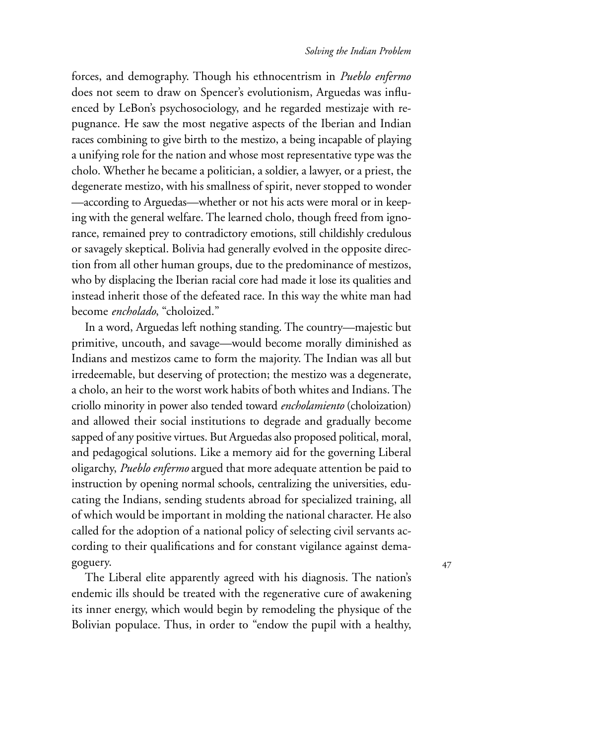#### *Solving the Indian Problem*

forces, and demography. Though his ethnocentrism in *Pueblo enfermo* does not seem to draw on Spencer's evolutionism, Arguedas was influenced by LeBon's psychosociology, and he regarded mestizaje with repugnance. He saw the most negative aspects of the Iberian and Indian races combining to give birth to the mestizo, a being incapable of playing a unifying role for the nation and whose most representative type was the cholo. Whether he became a politician, a soldier, a lawyer, or a priest, the degenerate mestizo, with his smallness of spirit, never stopped to wonder —according to Arguedas—whether or not his acts were moral or in keeping with the general welfare. The learned cholo, though freed from ignorance, remained prey to contradictory emotions, still childishly credulous or savagely skeptical. Bolivia had generally evolved in the opposite direction from all other human groups, due to the predominance of mestizos, who by displacing the Iberian racial core had made it lose its qualities and instead inherit those of the defeated race. In this way the white man had become *encholado*, "choloized."

In a word, Arguedas left nothing standing. The country—majestic but primitive, uncouth, and savage—would become morally diminished as Indians and mestizos came to form the majority. The Indian was all but irredeemable, but deserving of protection; the mestizo was a degenerate, a cholo, an heir to the worst work habits of both whites and Indians. The criollo minority in power also tended toward *encholamiento* (choloization) and allowed their social institutions to degrade and gradually become sapped of any positive virtues. But Arguedas also proposed political, moral, and pedagogical solutions. Like a memory aid for the governing Liberal oligarchy, *Pueblo enfermo* argued that more adequate attention be paid to instruction by opening normal schools, centralizing the universities, educating the Indians, sending students abroad for specialized training, all of which would be important in molding the national character. He also called for the adoption of a national policy of selecting civil servants according to their qualifications and for constant vigilance against demagoguery.

The Liberal elite apparently agreed with his diagnosis. The nation's endemic ills should be treated with the regenerative cure of awakening its inner energy, which would begin by remodeling the physique of the Bolivian populace. Thus, in order to "endow the pupil with a healthy,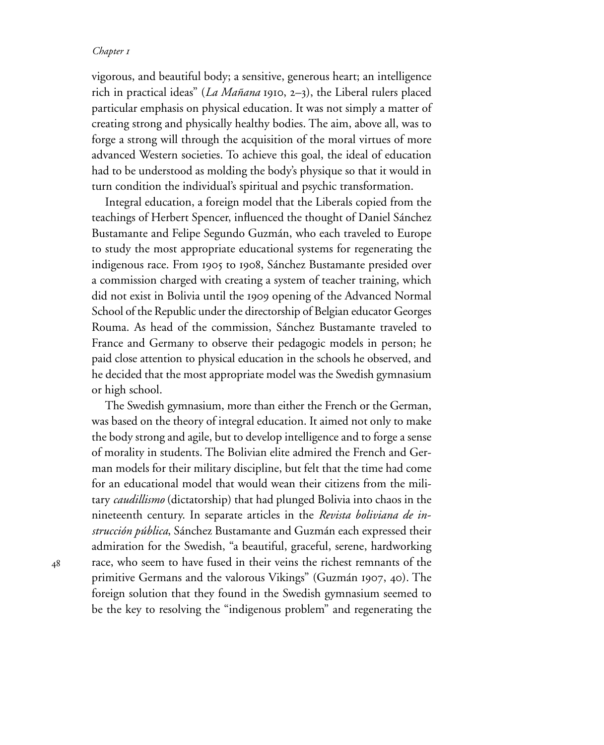vigorous, and beautiful body; a sensitive, generous heart; an intelligence rich in practical ideas" (*La Mañana* 1910, 2–3), the Liberal rulers placed particular emphasis on physical education. It was not simply a matter of creating strong and physically healthy bodies. The aim, above all, was to forge a strong will through the acquisition of the moral virtues of more advanced Western societies. To achieve this goal, the ideal of education had to be understood as molding the body's physique so that it would in turn condition the individual's spiritual and psychic transformation.

Integral education, a foreign model that the Liberals copied from the teachings of Herbert Spencer, influenced the thought of Daniel Sánchez Bustamante and Felipe Segundo Guzmán, who each traveled to Europe to study the most appropriate educational systems for regenerating the indigenous race. From 1905 to 1908, Sánchez Bustamante presided over a commission charged with creating a system of teacher training, which did not exist in Bolivia until the 1909 opening of the Advanced Normal School of the Republic under the directorship of Belgian educator Georges Rouma. As head of the commission, Sánchez Bustamante traveled to France and Germany to observe their pedagogic models in person; he paid close attention to physical education in the schools he observed, and he decided that the most appropriate model was the Swedish gymnasium or high school.

The Swedish gymnasium, more than either the French or the German, was based on the theory of integral education. It aimed not only to make the body strong and agile, but to develop intelligence and to forge a sense of morality in students. The Bolivian elite admired the French and German models for their military discipline, but felt that the time had come for an educational model that would wean their citizens from the military *caudillismo* (dictatorship) that had plunged Bolivia into chaos in the nineteenth century. In separate articles in the *Revista boliviana de instrucción pública*, Sánchez Bustamante and Guzmán each expressed their admiration for the Swedish, "a beautiful, graceful, serene, hardworking race, who seem to have fused in their veins the richest remnants of the primitive Germans and the valorous Vikings" (Guzmán 1907, 40). The foreign solution that they found in the Swedish gymnasium seemed to be the key to resolving the "indigenous problem" and regenerating the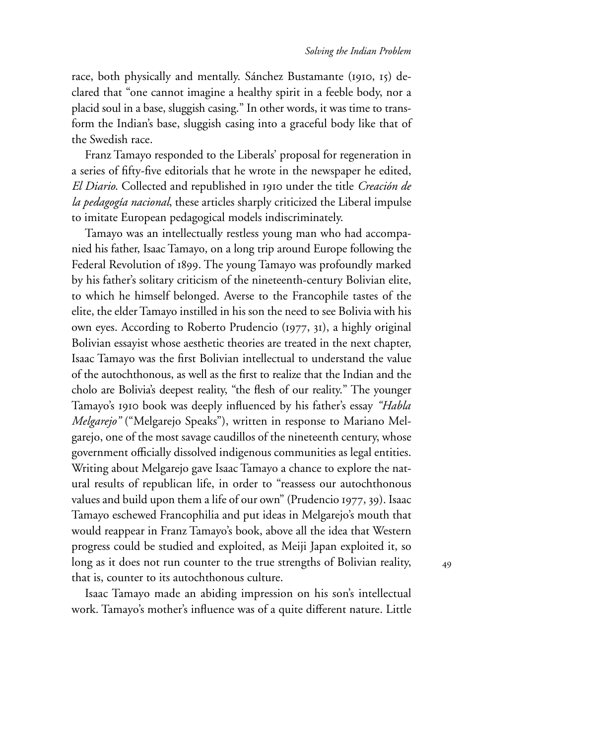race, both physically and mentally. Sánchez Bustamante (1910, 15) declared that "one cannot imagine a healthy spirit in a feeble body, nor a placid soul in a base, sluggish casing." In other words, it was time to transform the Indian's base, sluggish casing into a graceful body like that of the Swedish race.

Franz Tamayo responded to the Liberals' proposal for regeneration in a series of fifty-five editorials that he wrote in the newspaper he edited, *El Diario*. Collected and republished in under the title *Creación de la pedagogía nacional*, these articles sharply criticized the Liberal impulse to imitate European pedagogical models indiscriminately.

Tamayo was an intellectually restless young man who had accompanied his father, Isaac Tamayo, on a long trip around Europe following the Federal Revolution of 1899. The young Tamayo was profoundly marked by his father's solitary criticism of the nineteenth-century Bolivian elite, to which he himself belonged. Averse to the Francophile tastes of the elite, the elder Tamayo instilled in his son the need to see Bolivia with his own eyes. According to Roberto Prudencio (1977, 31), a highly original Bolivian essayist whose aesthetic theories are treated in the next chapter, Isaac Tamayo was the first Bolivian intellectual to understand the value of the autochthonous, as well as the first to realize that the Indian and the cholo are Bolivia's deepest reality, "the flesh of our reality." The younger Tamayo's 1910 book was deeply influenced by his father's essay *"Habla Melgarejo"* ("Melgarejo Speaks"), written in response to Mariano Melgarejo, one of the most savage caudillos of the nineteenth century, whose government officially dissolved indigenous communities as legal entities. Writing about Melgarejo gave Isaac Tamayo a chance to explore the natural results of republican life, in order to "reassess our autochthonous values and build upon them a life of our own" (Prudencio 1977, 39). Isaac Tamayo eschewed Francophilia and put ideas in Melgarejo's mouth that would reappear in Franz Tamayo's book, above all the idea that Western progress could be studied and exploited, as Meiji Japan exploited it, so long as it does not run counter to the true strengths of Bolivian reality, that is, counter to its autochthonous culture.

Isaac Tamayo made an abiding impression on his son's intellectual work. Tamayo's mother's influence was of a quite different nature. Little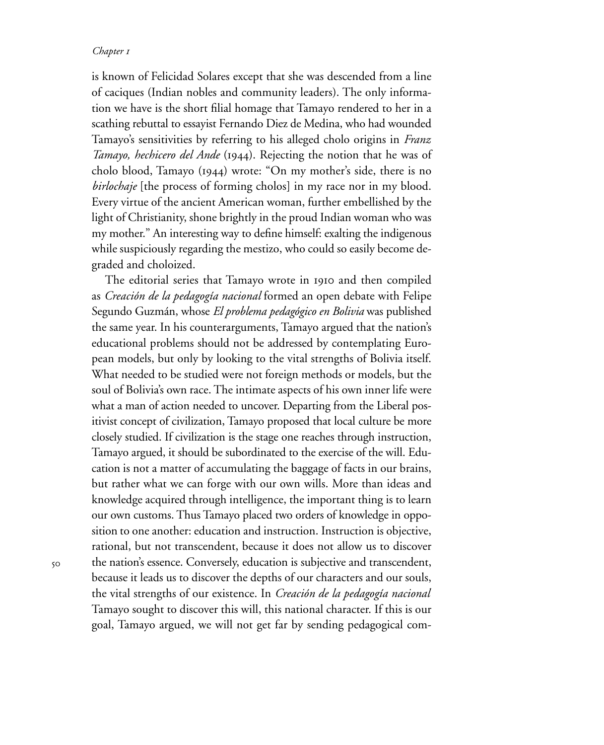is known of Felicidad Solares except that she was descended from a line of caciques (Indian nobles and community leaders). The only information we have is the short filial homage that Tamayo rendered to her in a scathing rebuttal to essayist Fernando Diez de Medina, who had wounded Tamayo's sensitivities by referring to his alleged cholo origins in *Franz Tamayo, hechicero del Ande* (1944). Rejecting the notion that he was of cholo blood, Tamayo  $(1944)$  wrote: "On my mother's side, there is no *birlochaje* [the process of forming cholos] in my race nor in my blood. Every virtue of the ancient American woman, further embellished by the light of Christianity, shone brightly in the proud Indian woman who was my mother." An interesting way to define himself: exalting the indigenous while suspiciously regarding the mestizo, who could so easily become degraded and choloized.

The editorial series that Tamayo wrote in 1910 and then compiled as *Creación de la pedagogía nacional* formed an open debate with Felipe Segundo Guzmán, whose *El problema pedagógico en Bolivia* was published the same year. In his counterarguments, Tamayo argued that the nation's educational problems should not be addressed by contemplating European models, but only by looking to the vital strengths of Bolivia itself. What needed to be studied were not foreign methods or models, but the soul of Bolivia's own race. The intimate aspects of his own inner life were what a man of action needed to uncover. Departing from the Liberal positivist concept of civilization, Tamayo proposed that local culture be more closely studied. If civilization is the stage one reaches through instruction, Tamayo argued, it should be subordinated to the exercise of the will. Education is not a matter of accumulating the baggage of facts in our brains, but rather what we can forge with our own wills. More than ideas and knowledge acquired through intelligence, the important thing is to learn our own customs. Thus Tamayo placed two orders of knowledge in opposition to one another: education and instruction. Instruction is objective, rational, but not transcendent, because it does not allow us to discover the nation's essence. Conversely, education is subjective and transcendent, because it leads us to discover the depths of our characters and our souls, the vital strengths of our existence. In *Creación de la pedagogía nacional* Tamayo sought to discover this will, this national character. If this is our goal, Tamayo argued, we will not get far by sending pedagogical com-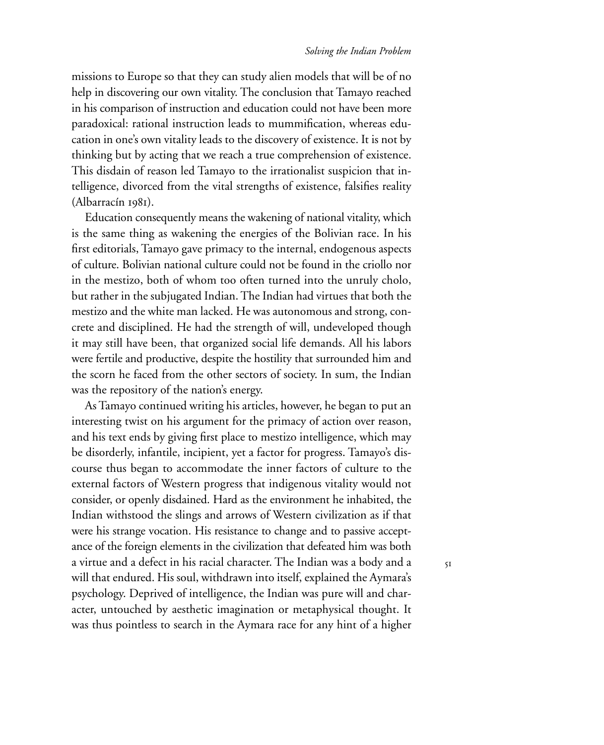#### *Solving the Indian Problem*

missions to Europe so that they can study alien models that will be of no help in discovering our own vitality. The conclusion that Tamayo reached in his comparison of instruction and education could not have been more paradoxical: rational instruction leads to mummification, whereas education in one's own vitality leads to the discovery of existence. It is not by thinking but by acting that we reach a true comprehension of existence. This disdain of reason led Tamayo to the irrationalist suspicion that intelligence, divorced from the vital strengths of existence, falsifies reality  $(Albarracín 1981).$ 

Education consequently means the wakening of national vitality, which is the same thing as wakening the energies of the Bolivian race. In his first editorials, Tamayo gave primacy to the internal, endogenous aspects of culture. Bolivian national culture could not be found in the criollo nor in the mestizo, both of whom too often turned into the unruly cholo, but rather in the subjugated Indian. The Indian had virtues that both the mestizo and the white man lacked. He was autonomous and strong, concrete and disciplined. He had the strength of will, undeveloped though it may still have been, that organized social life demands. All his labors were fertile and productive, despite the hostility that surrounded him and the scorn he faced from the other sectors of society. In sum, the Indian was the repository of the nation's energy.

As Tamayo continued writing his articles, however, he began to put an interesting twist on his argument for the primacy of action over reason, and his text ends by giving first place to mestizo intelligence, which may be disorderly, infantile, incipient, yet a factor for progress. Tamayo's discourse thus began to accommodate the inner factors of culture to the external factors of Western progress that indigenous vitality would not consider, or openly disdained. Hard as the environment he inhabited, the Indian withstood the slings and arrows of Western civilization as if that were his strange vocation. His resistance to change and to passive acceptance of the foreign elements in the civilization that defeated him was both a virtue and a defect in his racial character. The Indian was a body and a will that endured. His soul, withdrawn into itself, explained the Aymara's psychology. Deprived of intelligence, the Indian was pure will and character, untouched by aesthetic imagination or metaphysical thought. It was thus pointless to search in the Aymara race for any hint of a higher

 $5I$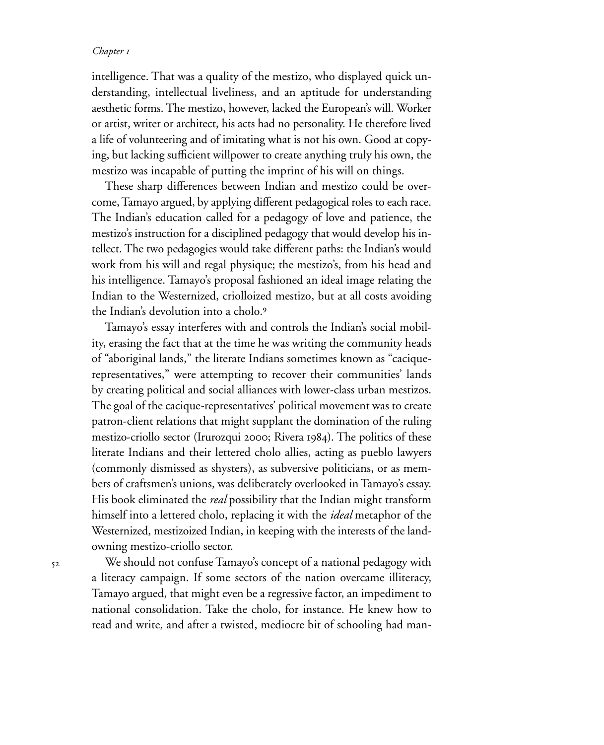intelligence. That was a quality of the mestizo, who displayed quick understanding, intellectual liveliness, and an aptitude for understanding aesthetic forms. The mestizo, however, lacked the European's will. Worker or artist, writer or architect, his acts had no personality. He therefore lived a life of volunteering and of imitating what is not his own. Good at copying, but lacking sufficient willpower to create anything truly his own, the mestizo was incapable of putting the imprint of his will on things.

These sharp differences between Indian and mestizo could be overcome, Tamayo argued, by applying different pedagogical roles to each race. The Indian's education called for a pedagogy of love and patience, the mestizo's instruction for a disciplined pedagogy that would develop his intellect. The two pedagogies would take different paths: the Indian's would work from his will and regal physique; the mestizo's, from his head and his intelligence. Tamayo's proposal fashioned an ideal image relating the Indian to the Westernized, criolloized mestizo, but at all costs avoiding the Indian's devolution into a cholo.<sup>9</sup>

Tamayo's essay interferes with and controls the Indian's social mobility, erasing the fact that at the time he was writing the community heads of "aboriginal lands," the literate Indians sometimes known as "caciquerepresentatives," were attempting to recover their communities' lands by creating political and social alliances with lower-class urban mestizos. The goal of the cacique-representatives' political movement was to create patron-client relations that might supplant the domination of the ruling mestizo-criollo sector (Irurozqui 2000; Rivera 1984). The politics of these literate Indians and their lettered cholo allies, acting as pueblo lawyers (commonly dismissed as shysters), as subversive politicians, or as members of craftsmen's unions, was deliberately overlooked in Tamayo's essay. His book eliminated the *real* possibility that the Indian might transform himself into a lettered cholo, replacing it with the *ideal* metaphor of the Westernized, mestizoized Indian, in keeping with the interests of the landowning mestizo-criollo sector.

 $52$ 

We should not confuse Tamayo's concept of a national pedagogy with a literacy campaign. If some sectors of the nation overcame illiteracy, Tamayo argued, that might even be a regressive factor, an impediment to national consolidation. Take the cholo, for instance. He knew how to read and write, and after a twisted, mediocre bit of schooling had man-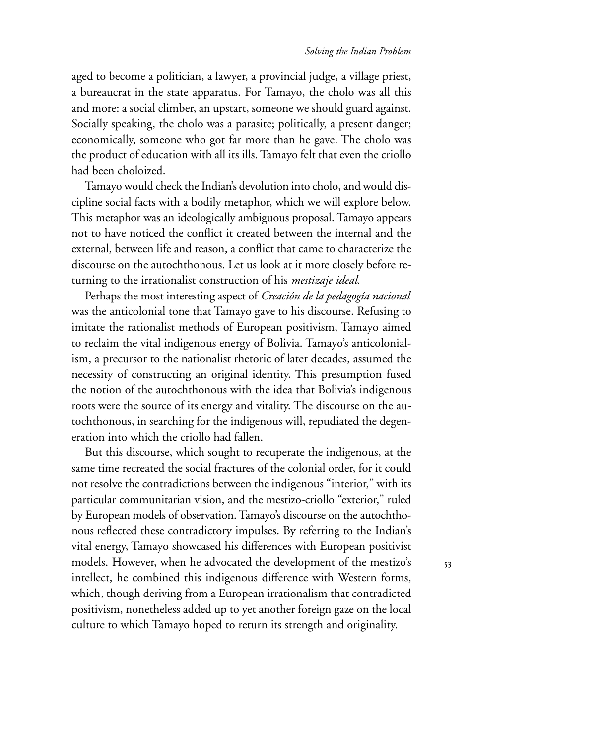$53$ 

aged to become a politician, a lawyer, a provincial judge, a village priest, a bureaucrat in the state apparatus. For Tamayo, the cholo was all this and more: a social climber, an upstart, someone we should guard against. Socially speaking, the cholo was a parasite; politically, a present danger; economically, someone who got far more than he gave. The cholo was the product of education with all its ills. Tamayo felt that even the criollo had been choloized.

Tamayo would check the Indian's devolution into cholo, and would discipline social facts with a bodily metaphor, which we will explore below. This metaphor was an ideologically ambiguous proposal. Tamayo appears not to have noticed the conflict it created between the internal and the external, between life and reason, a conflict that came to characterize the discourse on the autochthonous. Let us look at it more closely before returning to the irrationalist construction of his *mestizaje ideal.*

Perhaps the most interesting aspect of *Creación de la pedagogía nacional* was the anticolonial tone that Tamayo gave to his discourse. Refusing to imitate the rationalist methods of European positivism, Tamayo aimed to reclaim the vital indigenous energy of Bolivia. Tamayo's anticolonialism, a precursor to the nationalist rhetoric of later decades, assumed the necessity of constructing an original identity. This presumption fused the notion of the autochthonous with the idea that Bolivia's indigenous roots were the source of its energy and vitality. The discourse on the autochthonous, in searching for the indigenous will, repudiated the degeneration into which the criollo had fallen.

But this discourse, which sought to recuperate the indigenous, at the same time recreated the social fractures of the colonial order, for it could not resolve the contradictions between the indigenous "interior," with its particular communitarian vision, and the mestizo-criollo "exterior," ruled by European models of observation. Tamayo's discourse on the autochthonous reflected these contradictory impulses. By referring to the Indian's vital energy, Tamayo showcased his differences with European positivist models. However, when he advocated the development of the mestizo's intellect, he combined this indigenous difference with Western forms, which, though deriving from a European irrationalism that contradicted positivism, nonetheless added up to yet another foreign gaze on the local culture to which Tamayo hoped to return its strength and originality.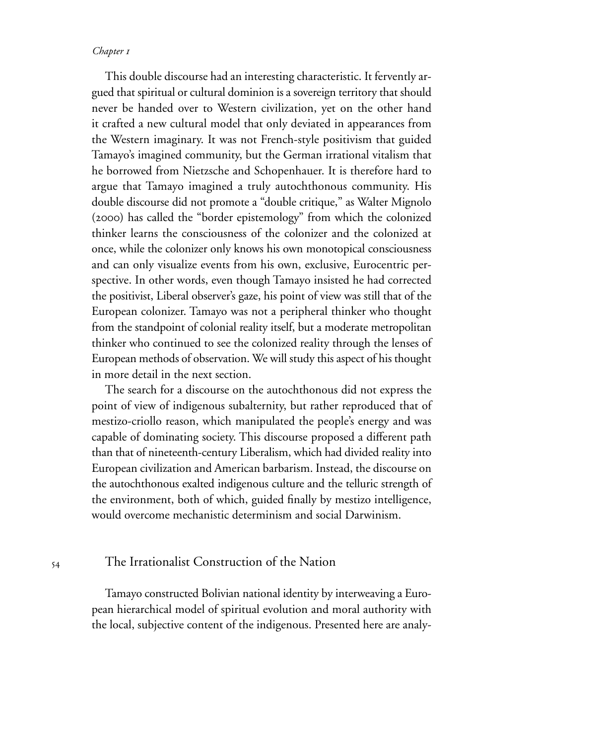This double discourse had an interesting characteristic. It fervently argued that spiritual or cultural dominion is a sovereign territory that should never be handed over to Western civilization, yet on the other hand it crafted a new cultural model that only deviated in appearances from the Western imaginary. It was not French-style positivism that guided Tamayo's imagined community, but the German irrational vitalism that he borrowed from Nietzsche and Schopenhauer. It is therefore hard to argue that Tamayo imagined a truly autochthonous community. His double discourse did not promote a "double critique," as Walter Mignolo (2000) has called the "border epistemology" from which the colonized thinker learns the consciousness of the colonizer and the colonized at once, while the colonizer only knows his own monotopical consciousness and can only visualize events from his own, exclusive, Eurocentric perspective. In other words, even though Tamayo insisted he had corrected the positivist, Liberal observer's gaze, his point of view was still that of the European colonizer. Tamayo was not a peripheral thinker who thought from the standpoint of colonial reality itself, but a moderate metropolitan thinker who continued to see the colonized reality through the lenses of European methods of observation. We will study this aspect of his thought in more detail in the next section.

The search for a discourse on the autochthonous did not express the point of view of indigenous subalternity, but rather reproduced that of mestizo-criollo reason, which manipulated the people's energy and was capable of dominating society. This discourse proposed a different path than that of nineteenth-century Liberalism, which had divided reality into European civilization and American barbarism. Instead, the discourse on the autochthonous exalted indigenous culture and the telluric strength of the environment, both of which, guided finally by mestizo intelligence, would overcome mechanistic determinism and social Darwinism.

# The Irrationalist Construction of the Nation

Tamayo constructed Bolivian national identity by interweaving a European hierarchical model of spiritual evolution and moral authority with the local, subjective content of the indigenous. Presented here are analy-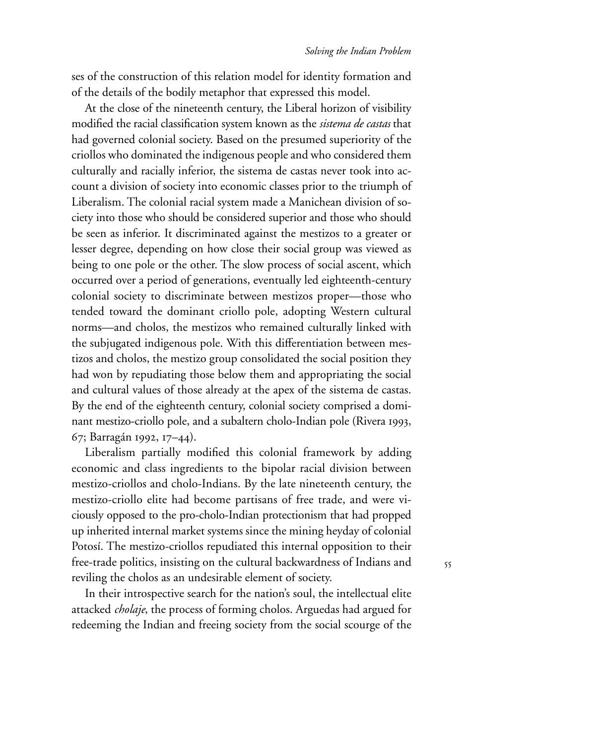ses of the construction of this relation model for identity formation and of the details of the bodily metaphor that expressed this model.

At the close of the nineteenth century, the Liberal horizon of visibility modified the racial classification system known as the *sistema de castas* that had governed colonial society. Based on the presumed superiority of the criollos who dominated the indigenous people and who considered them culturally and racially inferior, the sistema de castas never took into account a division of society into economic classes prior to the triumph of Liberalism. The colonial racial system made a Manichean division of society into those who should be considered superior and those who should be seen as inferior. It discriminated against the mestizos to a greater or lesser degree, depending on how close their social group was viewed as being to one pole or the other. The slow process of social ascent, which occurred over a period of generations, eventually led eighteenth-century colonial society to discriminate between mestizos proper—those who tended toward the dominant criollo pole, adopting Western cultural norms—and cholos, the mestizos who remained culturally linked with the subjugated indigenous pole. With this differentiation between mestizos and cholos, the mestizo group consolidated the social position they had won by repudiating those below them and appropriating the social and cultural values of those already at the apex of the sistema de castas. By the end of the eighteenth century, colonial society comprised a dominant mestizo-criollo pole, and a subaltern cholo-Indian pole (Rivera 1993, 67; Barragán 1992, 17-44).

Liberalism partially modified this colonial framework by adding economic and class ingredients to the bipolar racial division between mestizo-criollos and cholo-Indians. By the late nineteenth century, the mestizo-criollo elite had become partisans of free trade, and were viciously opposed to the pro-cholo-Indian protectionism that had propped up inherited internal market systems since the mining heyday of colonial Potosí. The mestizo-criollos repudiated this internal opposition to their free-trade politics, insisting on the cultural backwardness of Indians and reviling the cholos as an undesirable element of society.

In their introspective search for the nation's soul, the intellectual elite attacked *cholaje*, the process of forming cholos. Arguedas had argued for redeeming the Indian and freeing society from the social scourge of the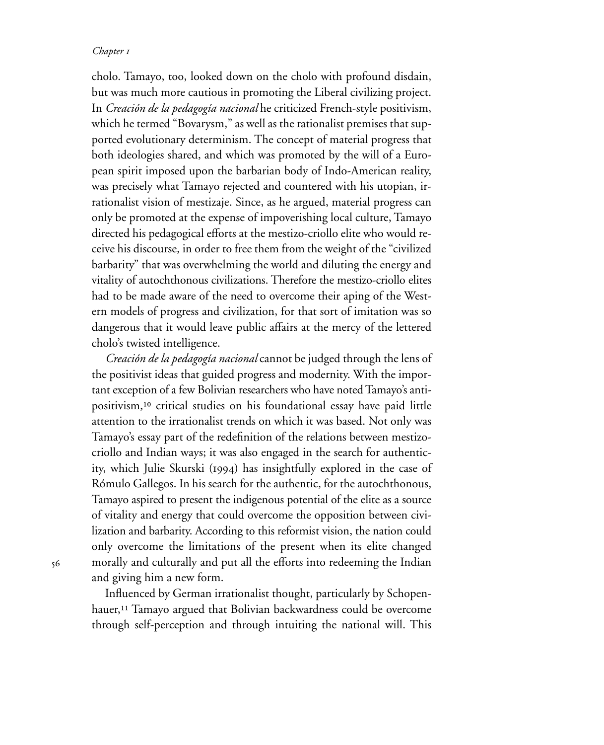cholo. Tamayo, too, looked down on the cholo with profound disdain, but was much more cautious in promoting the Liberal civilizing project. In *Creación de la pedagogía nacional* he criticized French-style positivism, which he termed "Bovarysm," as well as the rationalist premises that supported evolutionary determinism. The concept of material progress that both ideologies shared, and which was promoted by the will of a European spirit imposed upon the barbarian body of Indo-American reality, was precisely what Tamayo rejected and countered with his utopian, irrationalist vision of mestizaje. Since, as he argued, material progress can only be promoted at the expense of impoverishing local culture, Tamayo directed his pedagogical efforts at the mestizo-criollo elite who would receive his discourse, in order to free them from the weight of the "civilized barbarity" that was overwhelming the world and diluting the energy and vitality of autochthonous civilizations. Therefore the mestizo-criollo elites had to be made aware of the need to overcome their aping of the Western models of progress and civilization, for that sort of imitation was so dangerous that it would leave public affairs at the mercy of the lettered cholo's twisted intelligence.

*Creación de la pedagogía nacional* cannot be judged through the lens of the positivist ideas that guided progress and modernity. With the important exception of a few Bolivian researchers who have noted Tamayo's antipositivism,<sup>10</sup> critical studies on his foundational essay have paid little attention to the irrationalist trends on which it was based. Not only was Tamayo's essay part of the redefinition of the relations between mestizocriollo and Indian ways; it was also engaged in the search for authenticity, which Julie Skurski (1994) has insightfully explored in the case of Rómulo Gallegos. In his search for the authentic, for the autochthonous, Tamayo aspired to present the indigenous potential of the elite as a source of vitality and energy that could overcome the opposition between civilization and barbarity. According to this reformist vision, the nation could only overcome the limitations of the present when its elite changed morally and culturally and put all the efforts into redeeming the Indian and giving him a new form.

Influenced by German irrationalist thought, particularly by Schopenhauer,<sup>11</sup> Tamayo argued that Bolivian backwardness could be overcome through self-perception and through intuiting the national will. This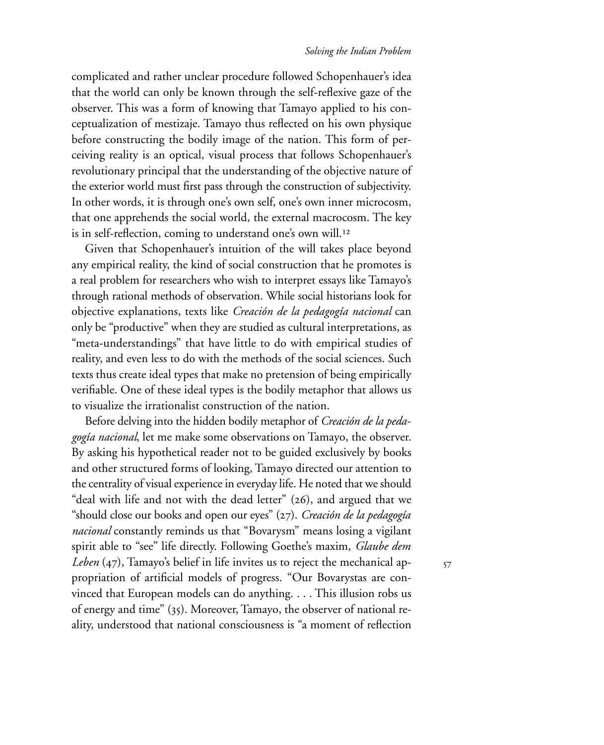complicated and rather unclear procedure followed Schopenhauer's idea that the world can only be known through the self-reflexive gaze of the observer. This was a form of knowing that Tamayo applied to his conceptualization of mestizaje. Tamayo thus reflected on his own physique before constructing the bodily image of the nation. This form of perceiving reality is an optical, visual process that follows Schopenhauer's revolutionary principal that the understanding of the objective nature of the exterior world must first pass through the construction of subjectivity. In other words, it is through one's own self, one's own inner microcosm, that one apprehends the social world, the external macrocosm. The key is in self-reflection, coming to understand one's own will.<sup>12</sup>

Given that Schopenhauer's intuition of the will takes place beyond any empirical reality, the kind of social construction that he promotes is a real problem for researchers who wish to interpret essays like Tamayo's through rational methods of observation. While social historians look for objective explanations, texts like *Creación de la pedagogía nacional* can only be "productive" when they are studied as cultural interpretations, as "meta-understandings" that have little to do with empirical studies of reality, and even less to do with the methods of the social sciences. Such texts thus create ideal types that make no pretension of being empirically verifiable. One of these ideal types is the bodily metaphor that allows us to visualize the irrationalist construction of the nation.

Before delving into the hidden bodily metaphor of *Creación de la pedagogía nacional*, let me make some observations on Tamayo, the observer. By asking his hypothetical reader not to be guided exclusively by books and other structured forms of looking, Tamayo directed our attention to the centrality of visual experience in everyday life. He noted that we should "deal with life and not with the dead letter"  $(26)$ , and argued that we "should close our books and open our eyes" (27). *Creación de la pedagogía nacional* constantly reminds us that "Bovarysm" means losing a vigilant spirit able to "see" life directly. Following Goethe's maxim, *Glaube dem Leben* (47), Tamayo's belief in life invites us to reject the mechanical appropriation of artificial models of progress. "Our Bovarystas are convinced that European models can do anything. . . . This illusion robs us of energy and time" (35). Moreover, Tamayo, the observer of national reality, understood that national consciousness is "a moment of reflection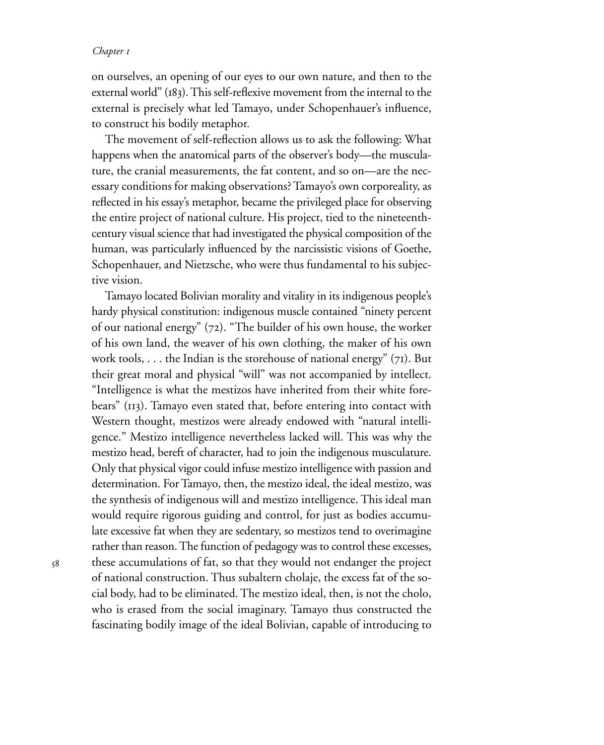on ourselves, an opening of our eyes to our own nature, and then to the external world" (183). This self-reflexive movement from the internal to the external is precisely what led Tamayo, under Schopenhauer's influence, to construct his bodily metaphor.

The movement of self-reflection allows us to ask the following: What happens when the anatomical parts of the observer's body—the musculature, the cranial measurements, the fat content, and so on—are the necessary conditions for making observations? Tamayo's own corporeality, as reflected in his essay's metaphor, became the privileged place for observing the entire project of national culture. His project, tied to the nineteenthcentury visual science that had investigated the physical composition of the human, was particularly influenced by the narcissistic visions of Goethe, Schopenhauer, and Nietzsche, who were thus fundamental to his subjective vision.

Tamayo located Bolivian morality and vitality in its indigenous people's hardy physical constitution: indigenous muscle contained "ninety percent of our national energy"  $(72)$ . "The builder of his own house, the worker of his own land, the weaver of his own clothing, the maker of his own work tools, . . . the Indian is the storehouse of national energy"  $(7I)$ . But their great moral and physical "will" was not accompanied by intellect. "Intelligence is what the mestizos have inherited from their white forebears" (113). Tamayo even stated that, before entering into contact with Western thought, mestizos were already endowed with "natural intelligence." Mestizo intelligence nevertheless lacked will. This was why the mestizo head, bereft of character, had to join the indigenous musculature. Only that physical vigor could infuse mestizo intelligence with passion and determination. For Tamayo, then, the mestizo ideal, the ideal mestizo, was the synthesis of indigenous will and mestizo intelligence. This ideal man would require rigorous guiding and control, for just as bodies accumulate excessive fat when they are sedentary, so mestizos tend to overimagine rather than reason. The function of pedagogy was to control these excesses, these accumulations of fat, so that they would not endanger the project of national construction. Thus subaltern cholaje, the excess fat of the social body, had to be eliminated. The mestizo ideal, then, is not the cholo, who is erased from the social imaginary. Tamayo thus constructed the fascinating bodily image of the ideal Bolivian, capable of introducing to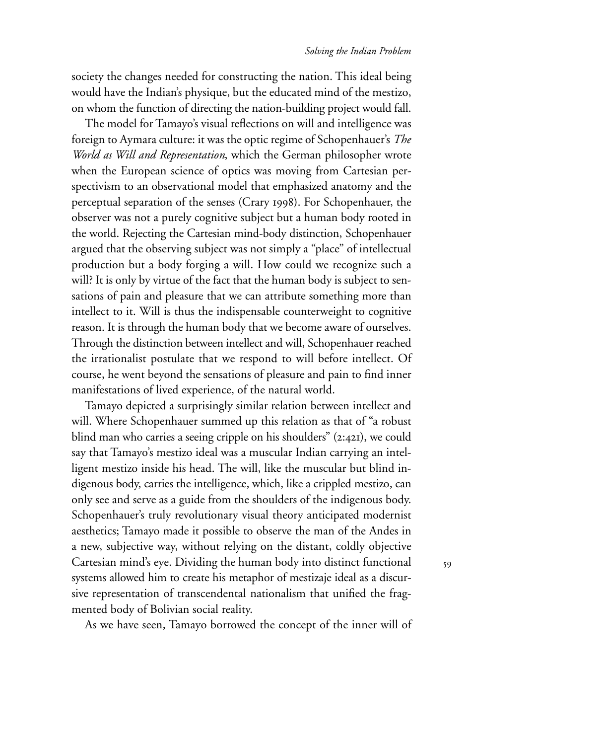society the changes needed for constructing the nation. This ideal being would have the Indian's physique, but the educated mind of the mestizo, on whom the function of directing the nation-building project would fall.

The model for Tamayo's visual reflections on will and intelligence was foreign to Aymara culture: it was the optic regime of Schopenhauer's *The World as Will and Representation*, which the German philosopher wrote when the European science of optics was moving from Cartesian perspectivism to an observational model that emphasized anatomy and the perceptual separation of the senses (Crary 1998). For Schopenhauer, the observer was not a purely cognitive subject but a human body rooted in the world. Rejecting the Cartesian mind-body distinction, Schopenhauer argued that the observing subject was not simply a "place" of intellectual production but a body forging a will. How could we recognize such a will? It is only by virtue of the fact that the human body is subject to sensations of pain and pleasure that we can attribute something more than intellect to it. Will is thus the indispensable counterweight to cognitive reason. It is through the human body that we become aware of ourselves. Through the distinction between intellect and will, Schopenhauer reached the irrationalist postulate that we respond to will before intellect. Of course, he went beyond the sensations of pleasure and pain to find inner manifestations of lived experience, of the natural world.

Tamayo depicted a surprisingly similar relation between intellect and will. Where Schopenhauer summed up this relation as that of "a robust blind man who carries a seeing cripple on his shoulders"  $(2:421)$ , we could say that Tamayo's mestizo ideal was a muscular Indian carrying an intelligent mestizo inside his head. The will, like the muscular but blind indigenous body, carries the intelligence, which, like a crippled mestizo, can only see and serve as a guide from the shoulders of the indigenous body. Schopenhauer's truly revolutionary visual theory anticipated modernist aesthetics; Tamayo made it possible to observe the man of the Andes in a new, subjective way, without relying on the distant, coldly objective Cartesian mind's eye. Dividing the human body into distinct functional systems allowed him to create his metaphor of mestizaje ideal as a discursive representation of transcendental nationalism that unified the fragmented body of Bolivian social reality.

As we have seen, Tamayo borrowed the concept of the inner will of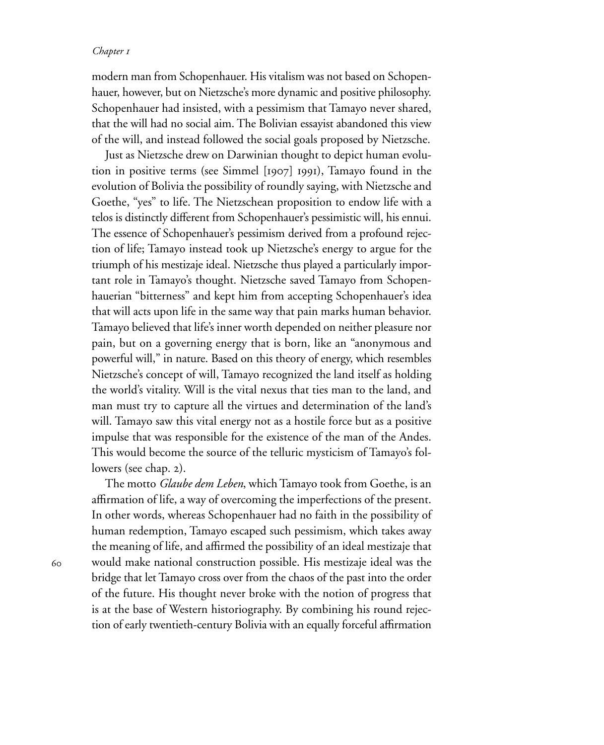modern man from Schopenhauer. His vitalism was not based on Schopenhauer, however, but on Nietzsche's more dynamic and positive philosophy. Schopenhauer had insisted, with a pessimism that Tamayo never shared, that the will had no social aim. The Bolivian essayist abandoned this view of the will, and instead followed the social goals proposed by Nietzsche.

Just as Nietzsche drew on Darwinian thought to depict human evolution in positive terms (see Simmel  $[1907]$  1991), Tamayo found in the evolution of Bolivia the possibility of roundly saying, with Nietzsche and Goethe, "yes" to life. The Nietzschean proposition to endow life with a telos is distinctly different from Schopenhauer's pessimistic will, his ennui. The essence of Schopenhauer's pessimism derived from a profound rejection of life; Tamayo instead took up Nietzsche's energy to argue for the triumph of his mestizaje ideal. Nietzsche thus played a particularly important role in Tamayo's thought. Nietzsche saved Tamayo from Schopenhauerian "bitterness" and kept him from accepting Schopenhauer's idea that will acts upon life in the same way that pain marks human behavior. Tamayo believed that life's inner worth depended on neither pleasure nor pain, but on a governing energy that is born, like an "anonymous and powerful will," in nature. Based on this theory of energy, which resembles Nietzsche's concept of will, Tamayo recognized the land itself as holding the world's vitality. Will is the vital nexus that ties man to the land, and man must try to capture all the virtues and determination of the land's will. Tamayo saw this vital energy not as a hostile force but as a positive impulse that was responsible for the existence of the man of the Andes. This would become the source of the telluric mysticism of Tamayo's followers (see chap. 2).

The motto *Glaube dem Leben*, which Tamayo took from Goethe, is an affirmation of life, a way of overcoming the imperfections of the present. In other words, whereas Schopenhauer had no faith in the possibility of human redemption, Tamayo escaped such pessimism, which takes away the meaning of life, and affirmed the possibility of an ideal mestizaje that would make national construction possible. His mestizaje ideal was the bridge that let Tamayo cross over from the chaos of the past into the order of the future. His thought never broke with the notion of progress that is at the base of Western historiography. By combining his round rejection of early twentieth-century Bolivia with an equally forceful affirmation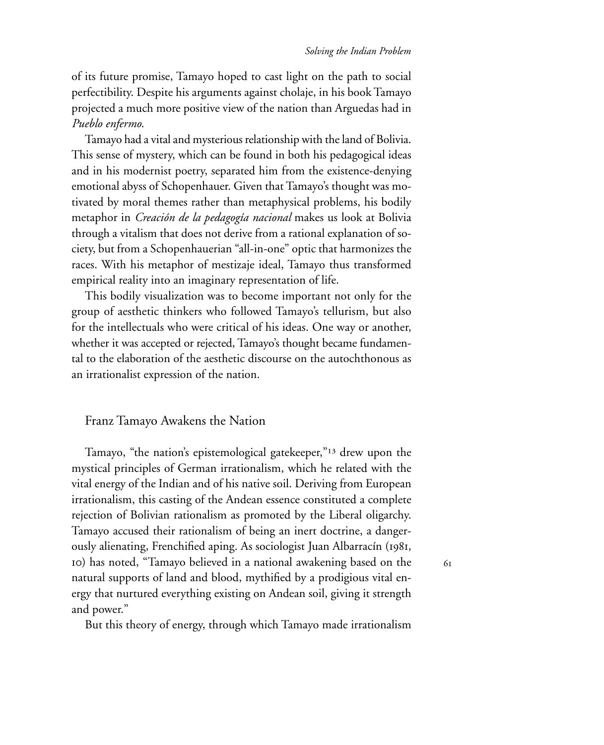of its future promise, Tamayo hoped to cast light on the path to social perfectibility. Despite his arguments against cholaje, in his book Tamayo projected a much more positive view of the nation than Arguedas had in *Pueblo enfermo*.

Tamayo had a vital and mysterious relationship with the land of Bolivia. This sense of mystery, which can be found in both his pedagogical ideas and in his modernist poetry, separated him from the existence-denying emotional abyss of Schopenhauer. Given that Tamayo's thought was motivated by moral themes rather than metaphysical problems, his bodily metaphor in *Creación de la pedagogía nacional* makes us look at Bolivia through a vitalism that does not derive from a rational explanation of society, but from a Schopenhauerian "all-in-one" optic that harmonizes the races. With his metaphor of mestizaje ideal, Tamayo thus transformed empirical reality into an imaginary representation of life.

This bodily visualization was to become important not only for the group of aesthetic thinkers who followed Tamayo's tellurism, but also for the intellectuals who were critical of his ideas. One way or another, whether it was accepted or rejected, Tamayo's thought became fundamental to the elaboration of the aesthetic discourse on the autochthonous as an irrationalist expression of the nation.

### Franz Tamayo Awakens the Nation

Tamayo, "the nation's epistemological gatekeeper,"<sup>13</sup> drew upon the mystical principles of German irrationalism, which he related with the vital energy of the Indian and of his native soil. Deriving from European irrationalism, this casting of the Andean essence constituted a complete rejection of Bolivian rationalism as promoted by the Liberal oligarchy. Tamayo accused their rationalism of being an inert doctrine, a dangerously alienating, Frenchified aping. As sociologist Juan Albarracín (1981, ) has noted, "Tamayo believed in a national awakening based on the natural supports of land and blood, mythified by a prodigious vital energy that nurtured everything existing on Andean soil, giving it strength and power."

But this theory of energy, through which Tamayo made irrationalism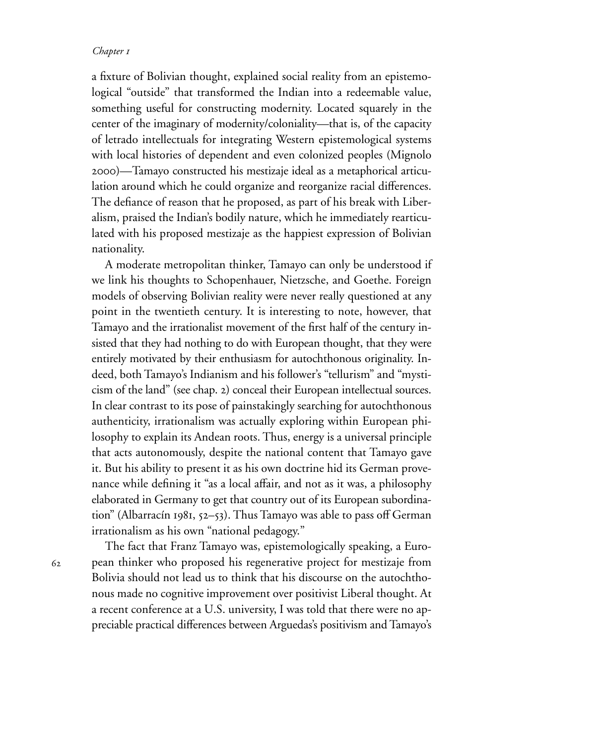a fixture of Bolivian thought, explained social reality from an epistemological "outside" that transformed the Indian into a redeemable value, something useful for constructing modernity. Located squarely in the center of the imaginary of modernity/coloniality—that is, of the capacity of letrado intellectuals for integrating Western epistemological systems with local histories of dependent and even colonized peoples (Mignolo )—Tamayo constructed his mestizaje ideal as a metaphorical articulation around which he could organize and reorganize racial differences. The defiance of reason that he proposed, as part of his break with Liberalism, praised the Indian's bodily nature, which he immediately rearticulated with his proposed mestizaje as the happiest expression of Bolivian nationality.

A moderate metropolitan thinker, Tamayo can only be understood if we link his thoughts to Schopenhauer, Nietzsche, and Goethe. Foreign models of observing Bolivian reality were never really questioned at any point in the twentieth century. It is interesting to note, however, that Tamayo and the irrationalist movement of the first half of the century insisted that they had nothing to do with European thought, that they were entirely motivated by their enthusiasm for autochthonous originality. Indeed, both Tamayo's Indianism and his follower's "tellurism" and "mysticism of the land" (see chap. 2) conceal their European intellectual sources. In clear contrast to its pose of painstakingly searching for autochthonous authenticity, irrationalism was actually exploring within European philosophy to explain its Andean roots. Thus, energy is a universal principle that acts autonomously, despite the national content that Tamayo gave it. But his ability to present it as his own doctrine hid its German provenance while defining it "as a local affair, and not as it was, a philosophy elaborated in Germany to get that country out of its European subordination" (Albarracín 1981, 52–53). Thus Tamayo was able to pass off German irrationalism as his own "national pedagogy."

62

The fact that Franz Tamayo was, epistemologically speaking, a European thinker who proposed his regenerative project for mestizaje from Bolivia should not lead us to think that his discourse on the autochthonous made no cognitive improvement over positivist Liberal thought. At a recent conference at a U.S. university, I was told that there were no appreciable practical differences between Arguedas's positivism and Tamayo's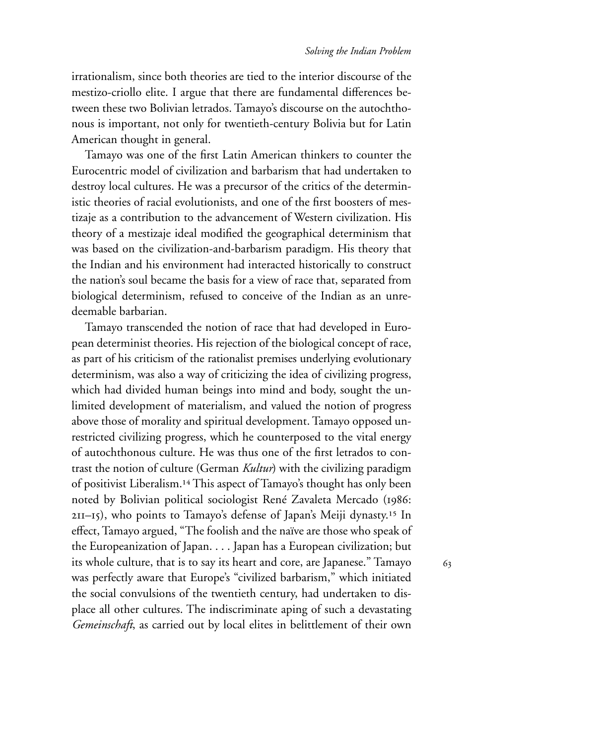63

irrationalism, since both theories are tied to the interior discourse of the mestizo-criollo elite. I argue that there are fundamental differences between these two Bolivian letrados. Tamayo's discourse on the autochthonous is important, not only for twentieth-century Bolivia but for Latin American thought in general.

Tamayo was one of the first Latin American thinkers to counter the Eurocentric model of civilization and barbarism that had undertaken to destroy local cultures. He was a precursor of the critics of the deterministic theories of racial evolutionists, and one of the first boosters of mestizaje as a contribution to the advancement of Western civilization. His theory of a mestizaje ideal modified the geographical determinism that was based on the civilization-and-barbarism paradigm. His theory that the Indian and his environment had interacted historically to construct the nation's soul became the basis for a view of race that, separated from biological determinism, refused to conceive of the Indian as an unredeemable barbarian.

Tamayo transcended the notion of race that had developed in European determinist theories. His rejection of the biological concept of race, as part of his criticism of the rationalist premises underlying evolutionary determinism, was also a way of criticizing the idea of civilizing progress, which had divided human beings into mind and body, sought the unlimited development of materialism, and valued the notion of progress above those of morality and spiritual development. Tamayo opposed unrestricted civilizing progress, which he counterposed to the vital energy of autochthonous culture. He was thus one of the first letrados to contrast the notion of culture (German *Kultur*) with the civilizing paradigm of positivist Liberalism.<sup>14</sup> This aspect of Tamayo's thought has only been noted by Bolivian political sociologist René Zavaleta Mercado (1986: 2II-I5), who points to Tamayo's defense of Japan's Meiji dynasty.<sup>15</sup> In effect, Tamayo argued, "The foolish and the naïve are those who speak of the Europeanization of Japan. . . . Japan has a European civilization; but its whole culture, that is to say its heart and core, are Japanese." Tamayo was perfectly aware that Europe's "civilized barbarism," which initiated the social convulsions of the twentieth century, had undertaken to displace all other cultures. The indiscriminate aping of such a devastating *Gemeinschaft*, as carried out by local elites in belittlement of their own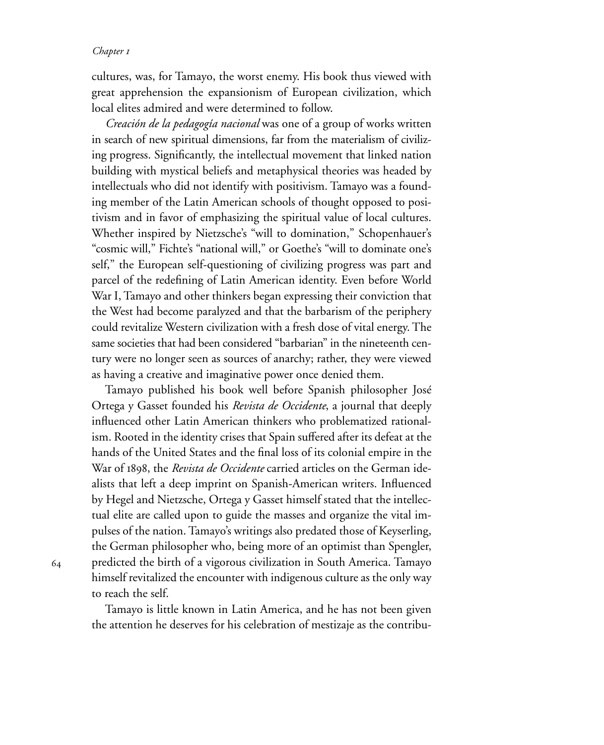cultures, was, for Tamayo, the worst enemy. His book thus viewed with great apprehension the expansionism of European civilization, which local elites admired and were determined to follow.

*Creación de la pedagogía nacional* was one of a group of works written in search of new spiritual dimensions, far from the materialism of civilizing progress. Significantly, the intellectual movement that linked nation building with mystical beliefs and metaphysical theories was headed by intellectuals who did not identify with positivism. Tamayo was a founding member of the Latin American schools of thought opposed to positivism and in favor of emphasizing the spiritual value of local cultures. Whether inspired by Nietzsche's "will to domination," Schopenhauer's "cosmic will," Fichte's "national will," or Goethe's "will to dominate one's self," the European self-questioning of civilizing progress was part and parcel of the redefining of Latin American identity. Even before World War I, Tamayo and other thinkers began expressing their conviction that the West had become paralyzed and that the barbarism of the periphery could revitalize Western civilization with a fresh dose of vital energy. The same societies that had been considered "barbarian" in the nineteenth century were no longer seen as sources of anarchy; rather, they were viewed as having a creative and imaginative power once denied them.

Tamayo published his book well before Spanish philosopher José Ortega y Gasset founded his *Revista de Occidente*, a journal that deeply influenced other Latin American thinkers who problematized rationalism. Rooted in the identity crises that Spain suffered after its defeat at the hands of the United States and the final loss of its colonial empire in the War of 1898, the *Revista de Occidente* carried articles on the German idealists that left a deep imprint on Spanish-American writers. Influenced by Hegel and Nietzsche, Ortega y Gasset himself stated that the intellectual elite are called upon to guide the masses and organize the vital impulses of the nation. Tamayo's writings also predated those of Keyserling, the German philosopher who, being more of an optimist than Spengler, predicted the birth of a vigorous civilization in South America. Tamayo himself revitalized the encounter with indigenous culture as the only way to reach the self.

Tamayo is little known in Latin America, and he has not been given the attention he deserves for his celebration of mestizaje as the contribu-